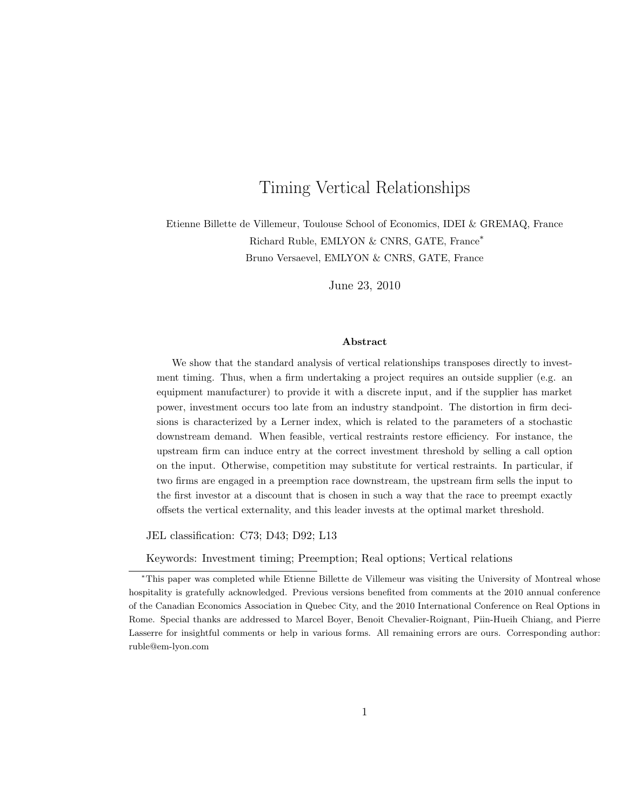# Timing Vertical Relationships

Etienne Billette de Villemeur, Toulouse School of Economics, IDEI & GREMAQ, France Richard Ruble, EMLYON & CNRS, GATE, France<sup>∗</sup> Bruno Versaevel, EMLYON & CNRS, GATE, France

June 23, 2010

#### Abstract

We show that the standard analysis of vertical relationships transposes directly to investment timing. Thus, when a firm undertaking a project requires an outside supplier (e.g. an equipment manufacturer) to provide it with a discrete input, and if the supplier has market power, investment occurs too late from an industry standpoint. The distortion in firm decisions is characterized by a Lerner index, which is related to the parameters of a stochastic downstream demand. When feasible, vertical restraints restore efficiency. For instance, the upstream firm can induce entry at the correct investment threshold by selling a call option on the input. Otherwise, competition may substitute for vertical restraints. In particular, if two firms are engaged in a preemption race downstream, the upstream firm sells the input to the first investor at a discount that is chosen in such a way that the race to preempt exactly offsets the vertical externality, and this leader invests at the optimal market threshold.

JEL classification: C73; D43; D92; L13

Keywords: Investment timing; Preemption; Real options; Vertical relations

<sup>∗</sup>This paper was completed while Etienne Billette de Villemeur was visiting the University of Montreal whose hospitality is gratefully acknowledged. Previous versions benefited from comments at the 2010 annual conference of the Canadian Economics Association in Quebec City, and the 2010 International Conference on Real Options in Rome. Special thanks are addressed to Marcel Boyer, Benoit Chevalier-Roignant, Piin-Hueih Chiang, and Pierre Lasserre for insightful comments or help in various forms. All remaining errors are ours. Corresponding author: ruble@em-lyon.com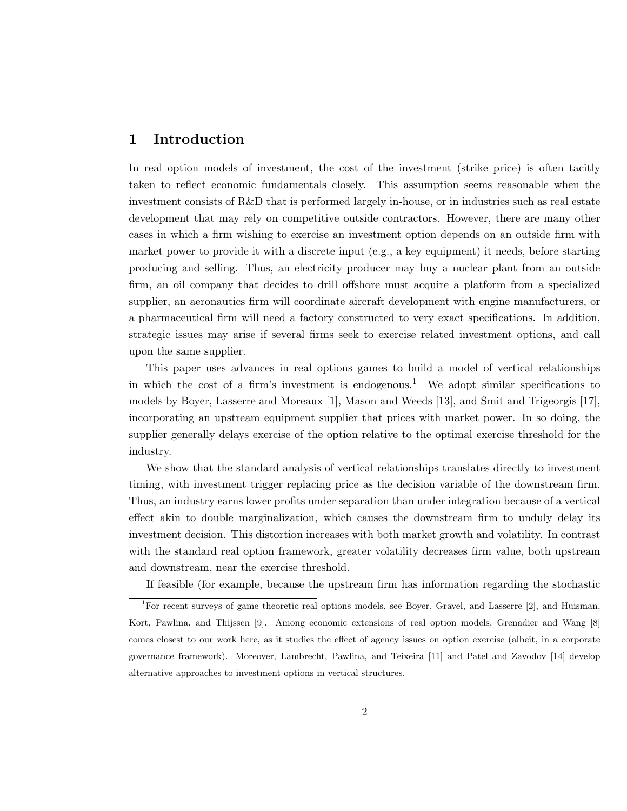## 1 Introduction

In real option models of investment, the cost of the investment (strike price) is often tacitly taken to reflect economic fundamentals closely. This assumption seems reasonable when the investment consists of R&D that is performed largely in-house, or in industries such as real estate development that may rely on competitive outside contractors. However, there are many other cases in which a firm wishing to exercise an investment option depends on an outside firm with market power to provide it with a discrete input (e.g., a key equipment) it needs, before starting producing and selling. Thus, an electricity producer may buy a nuclear plant from an outside firm, an oil company that decides to drill offshore must acquire a platform from a specialized supplier, an aeronautics firm will coordinate aircraft development with engine manufacturers, or a pharmaceutical firm will need a factory constructed to very exact specifications. In addition, strategic issues may arise if several firms seek to exercise related investment options, and call upon the same supplier.

This paper uses advances in real options games to build a model of vertical relationships in which the cost of a firm's investment is endogenous.<sup>1</sup> We adopt similar specifications to models by Boyer, Lasserre and Moreaux [1], Mason and Weeds [13], and Smit and Trigeorgis [17], incorporating an upstream equipment supplier that prices with market power. In so doing, the supplier generally delays exercise of the option relative to the optimal exercise threshold for the industry.

We show that the standard analysis of vertical relationships translates directly to investment timing, with investment trigger replacing price as the decision variable of the downstream firm. Thus, an industry earns lower profits under separation than under integration because of a vertical effect akin to double marginalization, which causes the downstream firm to unduly delay its investment decision. This distortion increases with both market growth and volatility. In contrast with the standard real option framework, greater volatility decreases firm value, both upstream and downstream, near the exercise threshold.

If feasible (for example, because the upstream firm has information regarding the stochastic

<sup>&</sup>lt;sup>1</sup>For recent surveys of game theoretic real options models, see Boyer, Gravel, and Lasserre [2], and Huisman, Kort, Pawlina, and Thijssen [9]. Among economic extensions of real option models, Grenadier and Wang [8] comes closest to our work here, as it studies the effect of agency issues on option exercise (albeit, in a corporate governance framework). Moreover, Lambrecht, Pawlina, and Teixeira [11] and Patel and Zavodov [14] develop alternative approaches to investment options in vertical structures.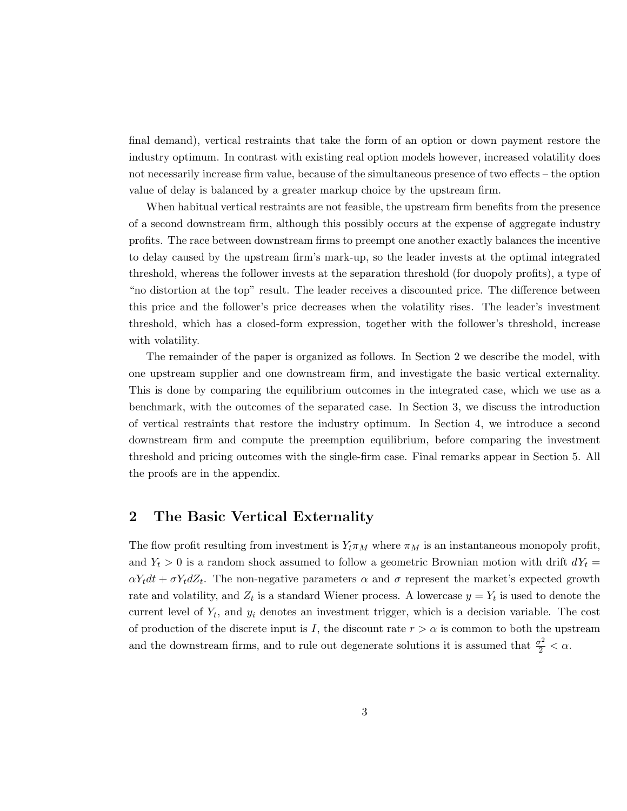final demand), vertical restraints that take the form of an option or down payment restore the industry optimum. In contrast with existing real option models however, increased volatility does not necessarily increase firm value, because of the simultaneous presence of two effects – the option value of delay is balanced by a greater markup choice by the upstream firm.

When habitual vertical restraints are not feasible, the upstream firm benefits from the presence of a second downstream firm, although this possibly occurs at the expense of aggregate industry profits. The race between downstream firms to preempt one another exactly balances the incentive to delay caused by the upstream firm's mark-up, so the leader invests at the optimal integrated threshold, whereas the follower invests at the separation threshold (for duopoly profits), a type of "no distortion at the top" result. The leader receives a discounted price. The difference between this price and the follower's price decreases when the volatility rises. The leader's investment threshold, which has a closed-form expression, together with the follower's threshold, increase with volatility.

The remainder of the paper is organized as follows. In Section 2 we describe the model, with one upstream supplier and one downstream firm, and investigate the basic vertical externality. This is done by comparing the equilibrium outcomes in the integrated case, which we use as a benchmark, with the outcomes of the separated case. In Section 3, we discuss the introduction of vertical restraints that restore the industry optimum. In Section 4, we introduce a second downstream firm and compute the preemption equilibrium, before comparing the investment threshold and pricing outcomes with the single-firm case. Final remarks appear in Section 5. All the proofs are in the appendix.

## 2 The Basic Vertical Externality

The flow profit resulting from investment is  $Y_t \pi_M$  where  $\pi_M$  is an instantaneous monopoly profit, and  $Y_t > 0$  is a random shock assumed to follow a geometric Brownian motion with drift  $dY_t =$  $\alpha Y_t dt + \sigma Y_t dZ_t$ . The non-negative parameters  $\alpha$  and  $\sigma$  represent the market's expected growth rate and volatility, and  $Z_t$  is a standard Wiener process. A lowercase  $y = Y_t$  is used to denote the current level of  $Y_t$ , and  $y_i$  denotes an investment trigger, which is a decision variable. The cost of production of the discrete input is I, the discount rate  $r > \alpha$  is common to both the upstream and the downstream firms, and to rule out degenerate solutions it is assumed that  $\frac{\sigma^2}{2} < \alpha$ .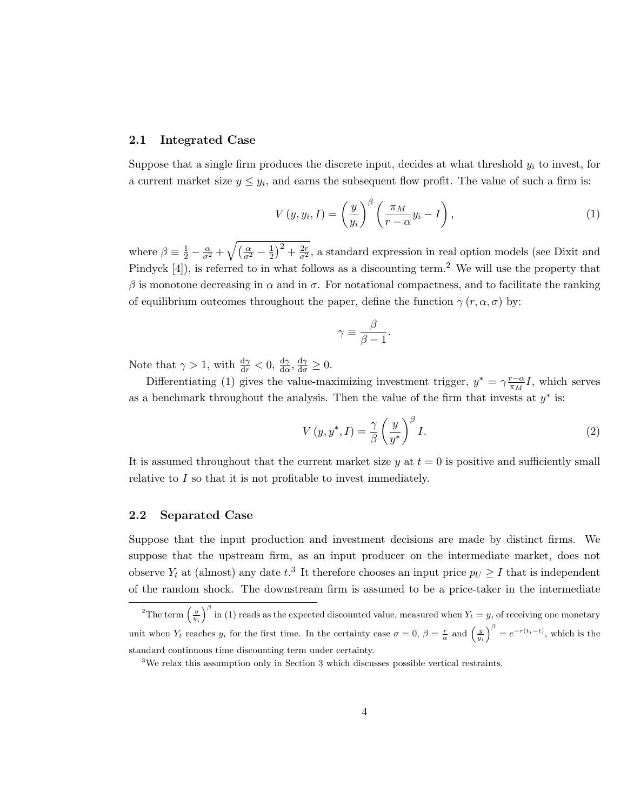#### 2.1 Integrated Case

Suppose that a single firm produces the discrete input, decides at what threshold  $y_i$  to invest, for a current market size  $y \leq y_i$ , and earns the subsequent flow profit. The value of such a firm is:

$$
V(y, y_i, I) = \left(\frac{y}{y_i}\right)^{\beta} \left(\frac{\pi_M}{r - \alpha} y_i - I\right),\tag{1}
$$

where  $\beta \equiv \frac{1}{2} - \frac{\alpha}{\sigma^2} + \sqrt{(\frac{\alpha}{\sigma^2} - \frac{1}{2})}$  $(\frac{1}{2})^2 + \frac{2r}{\sigma^2}$ , a standard expression in real option models (see Dixit and Pindyck [4]), is referred to in what follows as a discounting term.<sup>2</sup> We will use the property that β is monotone decreasing in  $\alpha$  and in  $\sigma$ . For notational compactness, and to facilitate the ranking of equilibrium outcomes throughout the paper, define the function  $\gamma(r, \alpha, \sigma)$  by:

$$
\gamma \equiv \frac{\beta}{\beta - 1}
$$

.

Note that  $\gamma > 1$ , with  $\frac{d\gamma}{dr} < 0$ ,  $\frac{d\gamma}{d\alpha}$ ,  $\frac{d\gamma}{d\sigma} \ge 0$ .

Differentiating (1) gives the value-maximizing investment trigger,  $y^* = \gamma \frac{r-\alpha}{\pi M}$  $\frac{r-\alpha}{\pi_M}I$ , which serves as a benchmark throughout the analysis. Then the value of the firm that invests at  $y^*$  is:

$$
V(y, y^*, I) = \frac{\gamma}{\beta} \left(\frac{y}{y^*}\right)^{\beta} I.
$$
 (2)

It is assumed throughout that the current market size y at  $t = 0$  is positive and sufficiently small relative to I so that it is not profitable to invest immediately.

#### 2.2 Separated Case

Suppose that the input production and investment decisions are made by distinct firms. We suppose that the upstream firm, as an input producer on the intermediate market, does not observe  $Y_t$  at (almost) any date  $t^3$ . It therefore chooses an input price  $p_U \geq I$  that is independent of the random shock. The downstream firm is assumed to be a price-taker in the intermediate

<sup>&</sup>lt;sup>2</sup>The term  $\left(\frac{y}{y_i}\right)$ <sup>β</sup> in (1) reads as the expected discounted value, measured when  $Y_t = y$ , of receiving one monetary unit when  $Y_t$  reaches  $y_i$  for the first time. In the certainty case  $\sigma = 0$ ,  $\beta = \frac{r}{\alpha}$  and  $\left(\frac{y}{y_i}\right)^{\beta} = e^{-r(t_i - t)}$ , which is the standard continuous time discounting term under certainty.

<sup>3</sup>We relax this assumption only in Section 3 which discusses possible vertical restraints.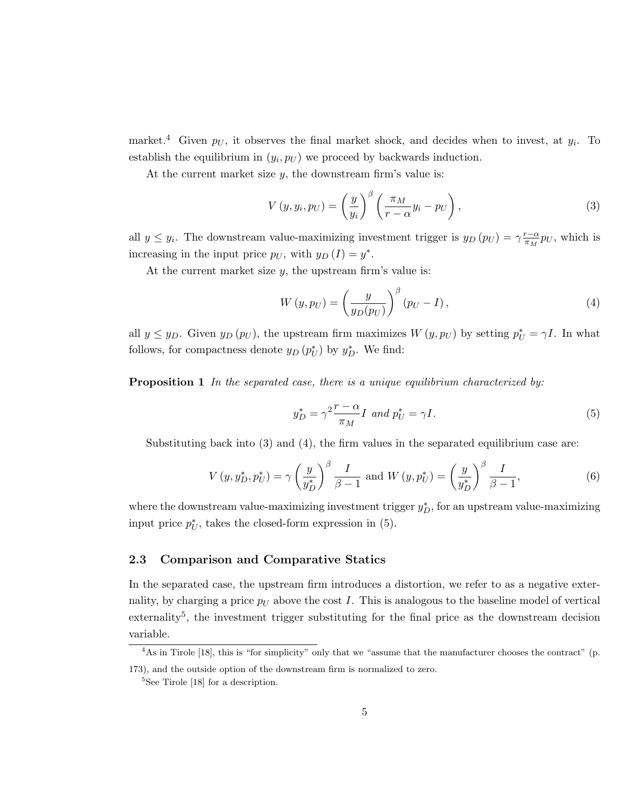market.<sup>4</sup> Given  $p_U$ , it observes the final market shock, and decides when to invest, at  $y_i$ . To establish the equilibrium in  $(y_i, p_U)$  we proceed by backwards induction.

At the current market size  $y$ , the downstream firm's value is:

$$
V(y, y_i, p_U) = \left(\frac{y}{y_i}\right)^{\beta} \left(\frac{\pi_M}{r - \alpha} y_i - p_U\right),\tag{3}
$$

all  $y \leq y_i$ . The downstream value-maximizing investment trigger is  $y_D(p_U) = \gamma \frac{r - \alpha}{\pi M}$  $\frac{r-\alpha}{\pi_M} p_U$ , which is increasing in the input price  $p_U$ , with  $y_D(I) = y^*$ .

At the current market size  $y$ , the upstream firm's value is:

$$
W(y, p_U) = \left(\frac{y}{y_D(p_U)}\right)^{\beta} (p_U - I), \qquad (4)
$$

all  $y \le y_D$ . Given  $y_D(p_U)$ , the upstream firm maximizes  $W(y, p_U)$  by setting  $p_U^* = \gamma I$ . In what follows, for compactness denote  $y_D(p_U^*)$  by  $y_D^*$ . We find:

**Proposition 1** In the separated case, there is a unique equilibrium characterized by:

$$
y_D^* = \gamma^2 \frac{r - \alpha}{\pi_M} I \text{ and } p_U^* = \gamma I. \tag{5}
$$

Substituting back into  $(3)$  and  $(4)$ , the firm values in the separated equilibrium case are:

$$
V(y, y_D^*, p_U^*) = \gamma \left(\frac{y}{y_D^*}\right)^{\beta} \frac{I}{\beta - 1} \text{ and } W(y, p_U^*) = \left(\frac{y}{y_D^*}\right)^{\beta} \frac{I}{\beta - 1},\tag{6}
$$

where the downstream value-maximizing investment trigger  $y_D^*$ , for an upstream value-maximizing input price  $p^*_{U}$ , takes the closed-form expression in (5).

#### 2.3 Comparison and Comparative Statics

In the separated case, the upstream firm introduces a distortion, we refer to as a negative externality, by charging a price  $p_U$  above the cost I. This is analogous to the baseline model of vertical externality<sup>5</sup>, the investment trigger substituting for the final price as the downstream decision variable.

<sup>&</sup>lt;sup>4</sup>As in Tirole [18], this is "for simplicity" only that we "assume that the manufacturer chooses the contract" (p. 173), and the outside option of the downstream firm is normalized to zero.

<sup>5</sup>See Tirole [18] for a description.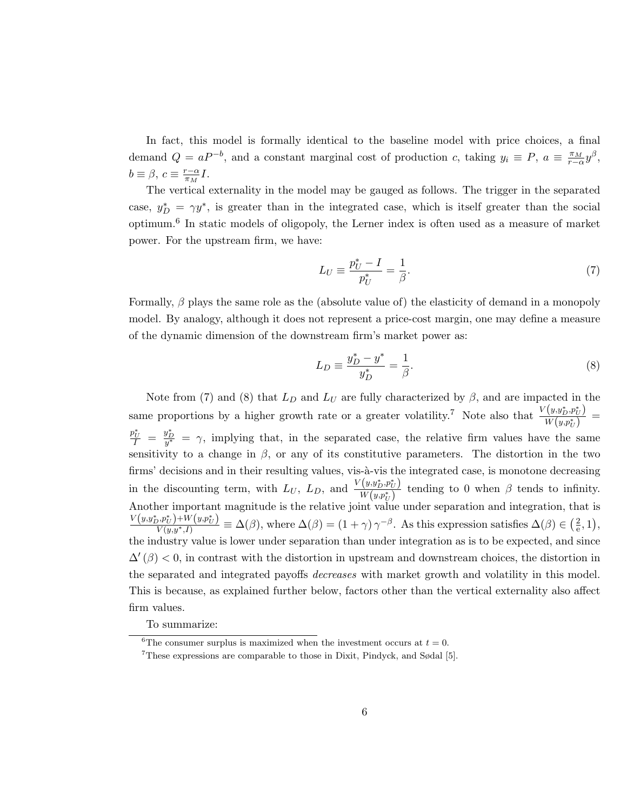In fact, this model is formally identical to the baseline model with price choices, a final demand  $Q = aP^{-b}$ , and a constant marginal cost of production c, taking  $y_i \equiv P$ ,  $a \equiv \frac{\pi_M}{r-\alpha} y^{\beta}$ ,  $b \equiv \beta$ ,  $c \equiv \frac{r-\alpha}{\pi}$  $\frac{r-\alpha}{\pi_M}I$ .

The vertical externality in the model may be gauged as follows. The trigger in the separated case,  $y_D^* = \gamma y^*$ , is greater than in the integrated case, which is itself greater than the social optimum.<sup>6</sup> In static models of oligopoly, the Lerner index is often used as a measure of market power. For the upstream firm, we have:

$$
L_U \equiv \frac{p_U^* - I}{p_U^*} = \frac{1}{\beta}.\tag{7}
$$

Formally,  $\beta$  plays the same role as the (absolute value of) the elasticity of demand in a monopoly model. By analogy, although it does not represent a price-cost margin, one may define a measure of the dynamic dimension of the downstream firm's market power as:

$$
L_D \equiv \frac{y_D^* - y^*}{y_D^*} = \frac{1}{\beta}.\tag{8}
$$

Note from (7) and (8) that  $L_D$  and  $L_U$  are fully characterized by  $\beta$ , and are impacted in the same proportions by a higher growth rate or a greater volatility.<sup>7</sup> Note also that  $\frac{V(y, y_D^*, p_U^*)}{W(x, x_i)}$  $\frac{(y,y_D,p_U)}{W(y,p_U^*)} =$  $\frac{p_U^*}{I} = \frac{y_D^*}{y^*} = \gamma$ , implying that, in the separated case, the relative firm values have the same sensitivity to a change in  $\beta$ , or any of its constitutive parameters. The distortion in the two firms' decisions and in their resulting values, vis-à-vis the integrated case, is monotone decreasing in the discounting term, with  $L_U$ ,  $L_D$ , and  $\frac{V(y, y_D^*, p_U^*)}{W(w, x^*)}$  $\frac{(y, y, p, \mu_U)}{W(y, p_U^*)}$  tending to 0 when  $\beta$  tends to infinity. Another important magnitude is the relative joint value under separation and integration, that is  $\frac{V(y, y_D^*, p_U^*) + W(y, p_U^*)}{V(y, y^*, I)} \equiv \Delta(\beta)$ , where  $\Delta(\beta) = (1 + \gamma) \gamma^{-\beta}$ . As this expression satisfies  $\Delta(\beta) \in \left(\frac{2\pi}{\pi}\right)$  $\frac{2}{\mathrm{e}},1\big),$ the industry value is lower under separation than under integration as is to be expected, and since  $\Delta'(\beta)$  < 0, in contrast with the distortion in upstream and downstream choices, the distortion in the separated and integrated payoffs *decreases* with market growth and volatility in this model. This is because, as explained further below, factors other than the vertical externality also affect firm values.

To summarize:

 $\overline{6}$ The consumer surplus is maximized when the investment occurs at  $t = 0$ .

<sup>7</sup>These expressions are comparable to those in Dixit, Pindyck, and Sødal [5].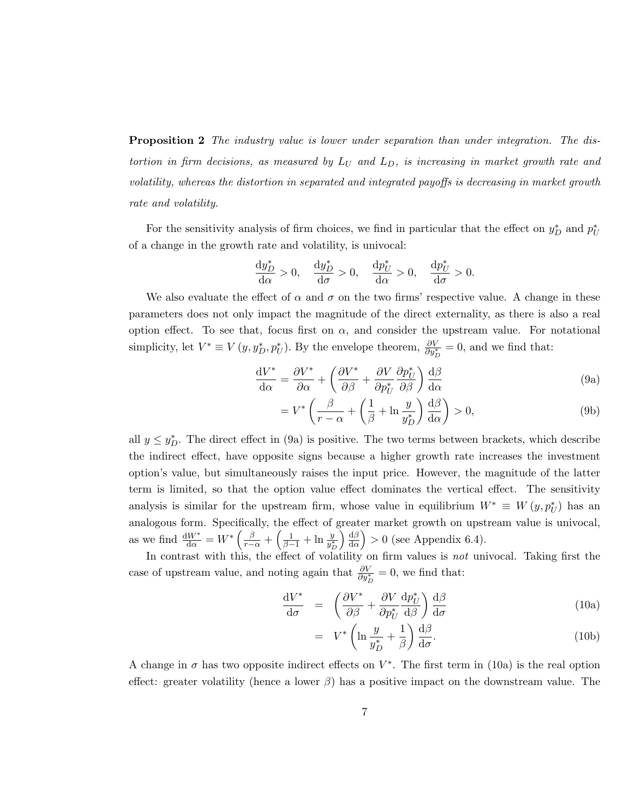**Proposition 2** The industry value is lower under separation than under integration. The distortion in firm decisions, as measured by  $L_U$  and  $L_D$ , is increasing in market growth rate and volatility, whereas the distortion in separated and integrated payoffs is decreasing in market growth rate and volatility.

For the sensitivity analysis of firm choices, we find in particular that the effect on  $y_D^*$  and  $p_U^*$ of a change in the growth rate and volatility, is univocal:

$$
\frac{\mathrm{d}y_D^*}{\mathrm{d}\alpha} > 0, \quad \frac{\mathrm{d}y_D^*}{\mathrm{d}\sigma} > 0, \quad \frac{\mathrm{d}p_U^*}{\mathrm{d}\alpha} > 0, \quad \frac{\mathrm{d}p_U^*}{\mathrm{d}\sigma} > 0.
$$

We also evaluate the effect of  $\alpha$  and  $\sigma$  on the two firms' respective value. A change in these parameters does not only impact the magnitude of the direct externality, as there is also a real option effect. To see that, focus first on  $\alpha$ , and consider the upstream value. For notational simplicity, let  $V^* \equiv V(y, y_D^*, p_U^*)$ . By the envelope theorem,  $\frac{\partial V}{\partial y_D^*} = 0$ , and we find that:

$$
\frac{\mathrm{d}V^*}{\mathrm{d}\alpha} = \frac{\partial V^*}{\partial \alpha} + \left(\frac{\partial V^*}{\partial \beta} + \frac{\partial V}{\partial p_U^*} \frac{\partial p_U^*}{\partial \beta}\right) \frac{\mathrm{d}\beta}{\mathrm{d}\alpha} \tag{9a}
$$

$$
= V^* \left( \frac{\beta}{r - \alpha} + \left( \frac{1}{\beta} + \ln \frac{y}{y_D^*} \right) \frac{d\beta}{d\alpha} \right) > 0, \tag{9b}
$$

all  $y \leq y_D^*$ . The direct effect in (9a) is positive. The two terms between brackets, which describe the indirect effect, have opposite signs because a higher growth rate increases the investment option's value, but simultaneously raises the input price. However, the magnitude of the latter term is limited, so that the option value effect dominates the vertical effect. The sensitivity analysis is similar for the upstream firm, whose value in equilibrium  $W^* \equiv W(y, p^*_{U})$  has an analogous form. Specifically, the effect of greater market growth on upstream value is univocal, as we find  $\frac{dW^*}{d\alpha} = W^* \left( \frac{\beta}{r-\alpha} + \left( \frac{1}{\beta-1} + \ln \frac{y}{y_D^*} \right) \right)$  $\frac{d\beta}{2}$  $\frac{d\beta}{d\alpha}$  > 0 (see Appendix 6.4).

In contrast with this, the effect of volatility on firm values is *not* univocal. Taking first the case of upstream value, and noting again that  $\frac{\partial V}{\partial y_D^*} = 0$ , we find that:

$$
\frac{\mathrm{d}V^*}{\mathrm{d}\sigma} = \left(\frac{\partial V^*}{\partial \beta} + \frac{\partial V}{\partial p_U^*} \frac{\mathrm{d}p_U^*}{\mathrm{d}\beta}\right) \frac{\mathrm{d}\beta}{\mathrm{d}\sigma} \tag{10a}
$$

$$
= V^* \left( \ln \frac{y}{y_D^*} + \frac{1}{\beta} \right) \frac{d\beta}{d\sigma}.
$$
 (10b)

A change in  $\sigma$  has two opposite indirect effects on  $V^*$ . The first term in (10a) is the real option effect: greater volatility (hence a lower  $\beta$ ) has a positive impact on the downstream value. The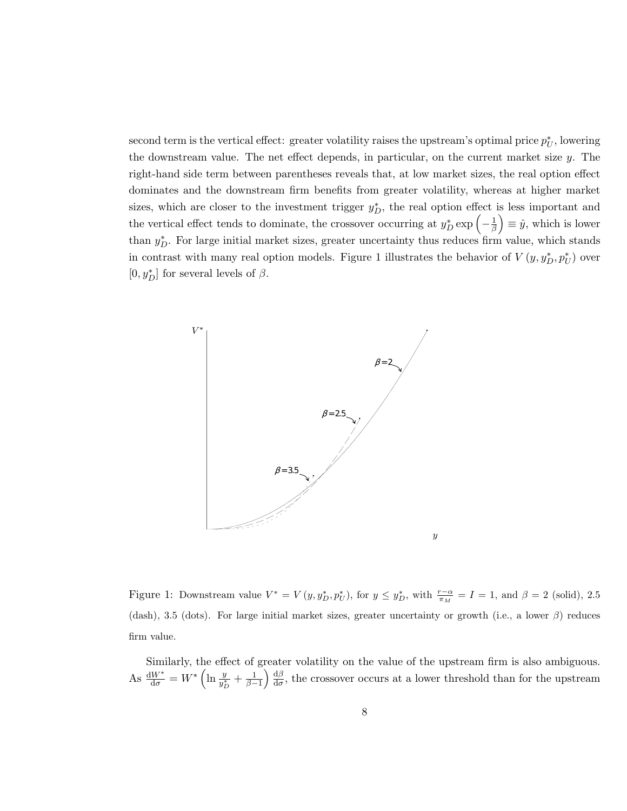second term is the vertical effect: greater volatility raises the upstream's optimal price  $p_U^*$ , lowering the downstream value. The net effect depends, in particular, on the current market size  $y$ . The right-hand side term between parentheses reveals that, at low market sizes, the real option effect dominates and the downstream firm benefits from greater volatility, whereas at higher market sizes, which are closer to the investment trigger  $y_D^*$ , the real option effect is less important and the vertical effect tends to dominate, the crossover occurring at  $y_D^*$  exp  $\left(-\frac{1}{\beta}\right)$  $(\frac{1}{\beta}) \equiv \hat{y}$ , which is lower than  $y_D^*$ . For large initial market sizes, greater uncertainty thus reduces firm value, which stands in contrast with many real option models. Figure 1 illustrates the behavior of  $V(y, y_D^*, p_U^*)$  over  $[0,y^*_D]$  for several levels of  $\beta.$ 



Figure 1: Downstream value  $V^* = V(y, y_D^*, p_U^*),$  for  $y \le y_D^*$ , with  $\frac{r-\alpha}{\pi_M} = I = 1$ , and  $\beta = 2$  (solid), 2.5 (dash), 3.5 (dots). For large initial market sizes, greater uncertainty or growth (i.e., a lower  $\beta$ ) reduces firm value.

Similarly, the effect of greater volatility on the value of the upstream firm is also ambiguous. As  $\frac{dW^*}{d\sigma} = W^* \left( \ln \frac{y}{y_D^*} + \frac{1}{\beta - 1} \right) \frac{d\beta}{d\sigma}$  $\frac{dD}{d\sigma}$ , the crossover occurs at a lower threshold than for the upstream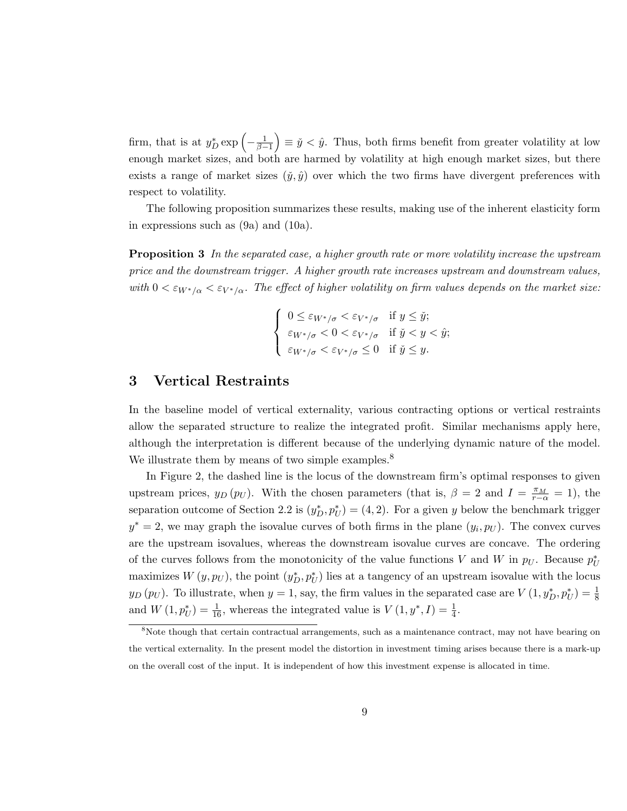firm, that is at  $y_D^* \exp\left(-\frac{1}{\beta-1}\right) \equiv \check{y} < \hat{y}$ . Thus, both firms benefit from greater volatility at low enough market sizes, and both are harmed by volatility at high enough market sizes, but there exists a range of market sizes  $(\tilde{y}, \hat{y})$  over which the two firms have divergent preferences with respect to volatility.

The following proposition summarizes these results, making use of the inherent elasticity form in expressions such as (9a) and (10a).

Proposition 3 In the separated case, a higher growth rate or more volatility increase the upstream price and the downstream trigger. A higher growth rate increases upstream and downstream values, with  $0 < \varepsilon_{W^*/\alpha} < \varepsilon_{V^*/\alpha}$ . The effect of higher volatility on firm values depends on the market size:

$$
\begin{cases} 0 \leq \varepsilon_{W^*/\sigma} < \varepsilon_{V^*/\sigma} \quad \text{if } y \leq \check{y};\\ \varepsilon_{W^*/\sigma} < 0 < \varepsilon_{V^*/\sigma} \quad \text{if } \check{y} < y < \hat{y};\\ \varepsilon_{W^*/\sigma} < \varepsilon_{V^*/\sigma} \leq 0 \quad \text{if } \check{y} \leq y. \end{cases}
$$

## 3 Vertical Restraints

In the baseline model of vertical externality, various contracting options or vertical restraints allow the separated structure to realize the integrated profit. Similar mechanisms apply here, although the interpretation is different because of the underlying dynamic nature of the model. We illustrate them by means of two simple examples.<sup>8</sup>

In Figure 2, the dashed line is the locus of the downstream firm's optimal responses to given upstream prices,  $y_D(p_U)$ . With the chosen parameters (that is,  $\beta = 2$  and  $I = \frac{\pi_M}{r-\alpha} = 1$ ), the separation outcome of Section 2.2 is  $(y_D^*, p_U^*) = (4, 2)$ . For a given y below the benchmark trigger  $y^* = 2$ , we may graph the isovalue curves of both firms in the plane  $(y_i, p_U)$ . The convex curves are the upstream isovalues, whereas the downstream isovalue curves are concave. The ordering of the curves follows from the monotonicity of the value functions V and W in  $p_U$ . Because  $p_U^*$ maximizes  $W(y, p_U)$ , the point  $(y_D^*, p_U^*)$  lies at a tangency of an upstream isovalue with the locus  $y_D(p_U)$ . To illustrate, when  $y = 1$ , say, the firm values in the separated case are  $V(1, y_D^*, p_U^*) = \frac{1}{8}$ and  $W(1, p^*_{U}) = \frac{1}{16}$ , whereas the integrated value is  $V(1, y^*, I) = \frac{1}{4}$ .

<sup>&</sup>lt;sup>8</sup>Note though that certain contractual arrangements, such as a maintenance contract, may not have bearing on the vertical externality. In the present model the distortion in investment timing arises because there is a mark-up on the overall cost of the input. It is independent of how this investment expense is allocated in time.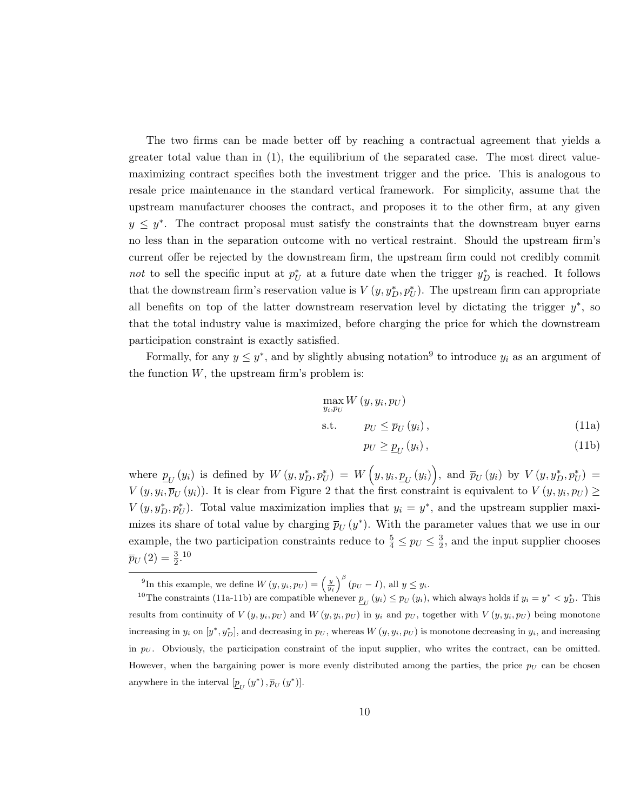The two firms can be made better off by reaching a contractual agreement that yields a greater total value than in (1), the equilibrium of the separated case. The most direct valuemaximizing contract specifies both the investment trigger and the price. This is analogous to resale price maintenance in the standard vertical framework. For simplicity, assume that the upstream manufacturer chooses the contract, and proposes it to the other firm, at any given  $y \leq y^*$ . The contract proposal must satisfy the constraints that the downstream buyer earns no less than in the separation outcome with no vertical restraint. Should the upstream firm's current offer be rejected by the downstream firm, the upstream firm could not credibly commit not to sell the specific input at  $p^*$  at a future date when the trigger  $y^*_D$  is reached. It follows that the downstream firm's reservation value is  $V(y, y_D^*, p_U^*)$ . The upstream firm can appropriate all benefits on top of the latter downstream reservation level by dictating the trigger  $y^*$ , so that the total industry value is maximized, before charging the price for which the downstream participation constraint is exactly satisfied.

Formally, for any  $y \leq y^*$ , and by slightly abusing notation<sup>9</sup> to introduce  $y_i$  as an argument of the function  $W$ , the upstream firm's problem is:

$$
\max_{y_i, p_U} W(y, y_i, p_U)
$$
  
s.t.  $p_U \le \overline{p}_U(y_i)$ , (11a)

$$
p_U \ge \underline{p}_U(y_i),\tag{11b}
$$

where  $p_U(y_i)$  is defined by  $W(y, y_D^*, p_U^*) = W(y, y_i, \underline{p}_U(y_i))$ , and  $\overline{p}_U(y_i)$  by  $V(y, y_D^*, p_U^*) =$  $V(y, y_i, \overline{p}_U(y_i))$ . It is clear from Figure 2 that the first constraint is equivalent to  $V(y, y_i, p_U) \ge$  $V(y, y_D^*, p_U^*)$ . Total value maximization implies that  $y_i = y^*$ , and the upstream supplier maximizes its share of total value by charging  $\bar{p}_U(y^*)$ . With the parameter values that we use in our example, the two participation constraints reduce to  $\frac{5}{4} \leq p_U \leq \frac{3}{2}$  $\frac{3}{2}$ , and the input supplier chooses  $\bar{p}_U(2) = \frac{3}{2}$ .<sup>10</sup>

<sup>&</sup>lt;sup>9</sup>In this example, we define  $W(y, y_i, p_U) = \left(\frac{y}{y_i}\right)^{\beta} (p_U - I)$ , all  $y \leq y_i$ .

<sup>&</sup>lt;sup>10</sup>The constraints (11a-11b) are compatible whenever  $\underline{p}_U(y_i) \leq \overline{p}_U(y_i)$ , which always holds if  $y_i = y^* < y^*_D$ . This results from continuity of  $V(y, y_i, p_U)$  and  $W(y, y_i, p_U)$  in  $y_i$  and  $p_U$ , together with  $V(y, y_i, p_U)$  being monotone increasing in  $y_i$  on  $[y^*, y^*_{D}]$ , and decreasing in  $p_U$ , whereas  $W(y, y_i, p_U)$  is monotone decreasing in  $y_i$ , and increasing in  $p_U$ . Obviously, the participation constraint of the input supplier, who writes the contract, can be omitted. However, when the bargaining power is more evenly distributed among the parties, the price  $p_U$  can be chosen anywhere in the interval  $[\underline{p}_U(y^*), \overline{p}_U(y^*)]$ .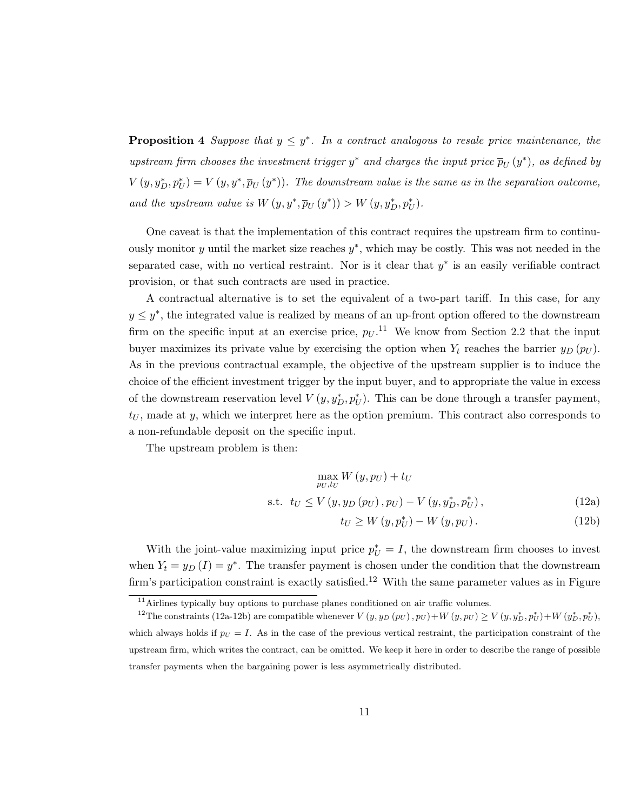**Proposition 4** Suppose that  $y \leq y^*$ . In a contract analogous to resale price maintenance, the upstream firm chooses the investment trigger  $y^*$  and charges the input price  $\bar{p}_U(y^*)$ , as defined by  $V(y, y_D^*, p_U^*) = V(y, y^*, \overline{p}_U(y^*))$ . The downstream value is the same as in the separation outcome, and the upstream value is  $W(y, y^*, \overline{p}_U(y^*)) > W(y, y_D^*, p_U^*)$ .

One caveat is that the implementation of this contract requires the upstream firm to continuously monitor  $y$  until the market size reaches  $y^*$ , which may be costly. This was not needed in the separated case, with no vertical restraint. Nor is it clear that  $y^*$  is an easily verifiable contract provision, or that such contracts are used in practice.

A contractual alternative is to set the equivalent of a two-part tariff. In this case, for any  $y \leq y^*$ , the integrated value is realized by means of an up-front option offered to the downstream firm on the specific input at an exercise price,  $p_U$ .<sup>11</sup> We know from Section 2.2 that the input buyer maximizes its private value by exercising the option when  $Y_t$  reaches the barrier  $y_D (p_U)$ . As in the previous contractual example, the objective of the upstream supplier is to induce the choice of the efficient investment trigger by the input buyer, and to appropriate the value in excess of the downstream reservation level  $V(y, y_D^*, p_U^*)$ . This can be done through a transfer payment,  $t_U$ , made at y, which we interpret here as the option premium. This contract also corresponds to a non-refundable deposit on the specific input.

The upstream problem is then:

$$
\max_{p_U, t_U} W(y, p_U) + t_U
$$
  
s.t.  $t_U \le V(y, y_D(p_U), p_U) - V(y, y_D^*, p_U^*),$  (12a)

$$
t_U \ge W\left(y, p_U^*\right) - W\left(y, p_U\right). \tag{12b}
$$

With the joint-value maximizing input price  $p_U^* = I$ , the downstream firm chooses to invest when  $Y_t = y_D(I) = y^*$ . The transfer payment is chosen under the condition that the downstream firm's participation constraint is exactly satisfied.<sup>12</sup> With the same parameter values as in Figure

 $11$ <sup>11</sup>Airlines typically buy options to purchase planes conditioned on air traffic volumes.

<sup>&</sup>lt;sup>12</sup>The constraints (12a-12b) are compatible whenever  $V(y, y_D (p_U), p_U) + W(y, p_U) \ge V(y, y_D^*, p_U^*) + W(y_D^*, p_U^*)$ which always holds if  $p_U = I$ . As in the case of the previous vertical restraint, the participation constraint of the upstream firm, which writes the contract, can be omitted. We keep it here in order to describe the range of possible transfer payments when the bargaining power is less asymmetrically distributed.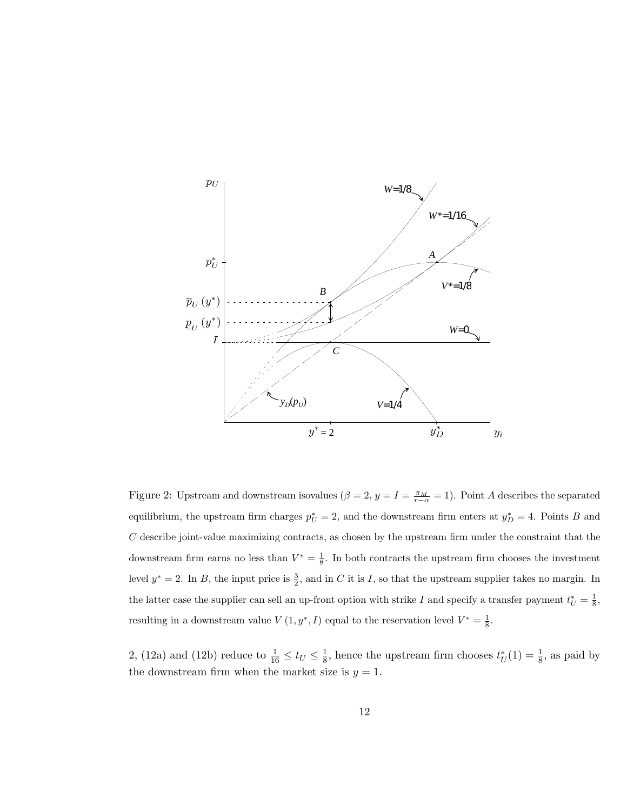

Figure 2: Upstream and downstream isovalues  $(\beta = 2, y = I = \frac{\pi_M}{r-\alpha} = 1)$ . Point A describes the separated equilibrium, the upstream firm charges  $p_U^* = 2$ , and the downstream firm enters at  $y_D^* = 4$ . Points B and C describe joint-value maximizing contracts, as chosen by the upstream firm under the constraint that the downstream firm earns no less than  $V^* = \frac{1}{8}$ . In both contracts the upstream firm chooses the investment level  $y^* = 2$ . In B, the input price is  $\frac{3}{2}$ , and in C it is I, so that the upstream supplier takes no margin. In the latter case the supplier can sell an up-front option with strike I and specify a transfer payment  $t_U^* = \frac{1}{8}$ , resulting in a downstream value  $V(1, y^*, I)$  equal to the reservation level  $V^* = \frac{1}{8}$ .

2, (12a) and (12b) reduce to  $\frac{1}{16} \le t_U \le \frac{1}{8}$  $\frac{1}{8}$ , hence the upstream firm chooses  $t^*_{U}(1) = \frac{1}{8}$ , as paid by the downstream firm when the market size is  $y = 1$ .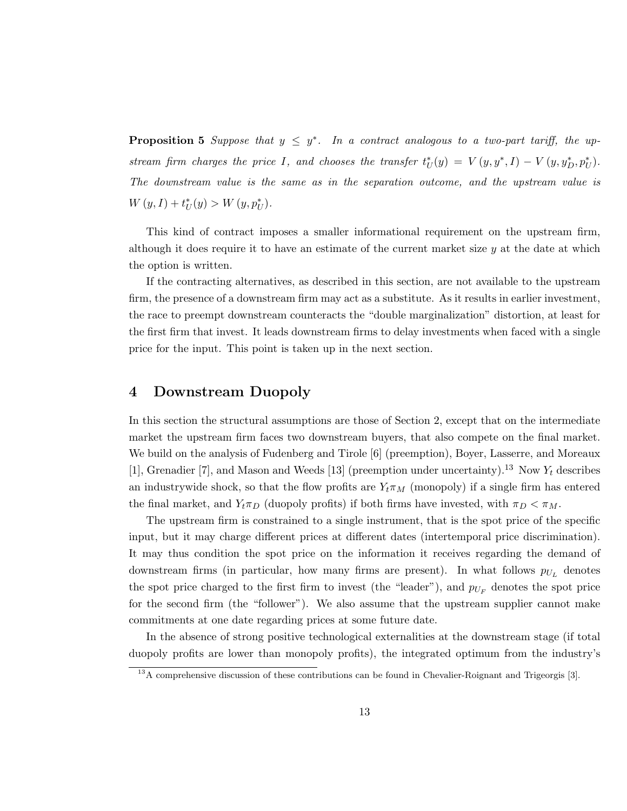**Proposition 5** Suppose that  $y \leq y^*$ . In a contract analogous to a two-part tariff, the upstream firm charges the price I, and chooses the transfer  $t_U^*(y) = V(y, y^*, I) - V(y, y_D^*, p_U^*)$ . The downstream value is the same as in the separation outcome, and the upstream value is  $W(y, I) + t^*_{U}(y) > W(y, p^*_{U}).$ 

This kind of contract imposes a smaller informational requirement on the upstream firm, although it does require it to have an estimate of the current market size  $y$  at the date at which the option is written.

If the contracting alternatives, as described in this section, are not available to the upstream firm, the presence of a downstream firm may act as a substitute. As it results in earlier investment, the race to preempt downstream counteracts the "double marginalization" distortion, at least for the first firm that invest. It leads downstream firms to delay investments when faced with a single price for the input. This point is taken up in the next section.

## 4 Downstream Duopoly

In this section the structural assumptions are those of Section 2, except that on the intermediate market the upstream firm faces two downstream buyers, that also compete on the final market. We build on the analysis of Fudenberg and Tirole [6] (preemption), Boyer, Lasserre, and Moreaux [1], Grenadier [7], and Mason and Weeds [13] (preemption under uncertainty).<sup>13</sup> Now  $Y_t$  describes an industrywide shock, so that the flow profits are  $Y_t \pi_M$  (monopoly) if a single firm has entered the final market, and  $Y_t\pi_D$  (duopoly profits) if both firms have invested, with  $\pi_D < \pi_M$ .

The upstream firm is constrained to a single instrument, that is the spot price of the specific input, but it may charge different prices at different dates (intertemporal price discrimination). It may thus condition the spot price on the information it receives regarding the demand of downstream firms (in particular, how many firms are present). In what follows  $p_{U_L}$  denotes the spot price charged to the first firm to invest (the "leader"), and  $p_{U_F}$  denotes the spot price for the second firm (the "follower"). We also assume that the upstream supplier cannot make commitments at one date regarding prices at some future date.

In the absence of strong positive technological externalities at the downstream stage (if total duopoly profits are lower than monopoly profits), the integrated optimum from the industry's

<sup>&</sup>lt;sup>13</sup>A comprehensive discussion of these contributions can be found in Chevalier-Roignant and Trigeorgis [3].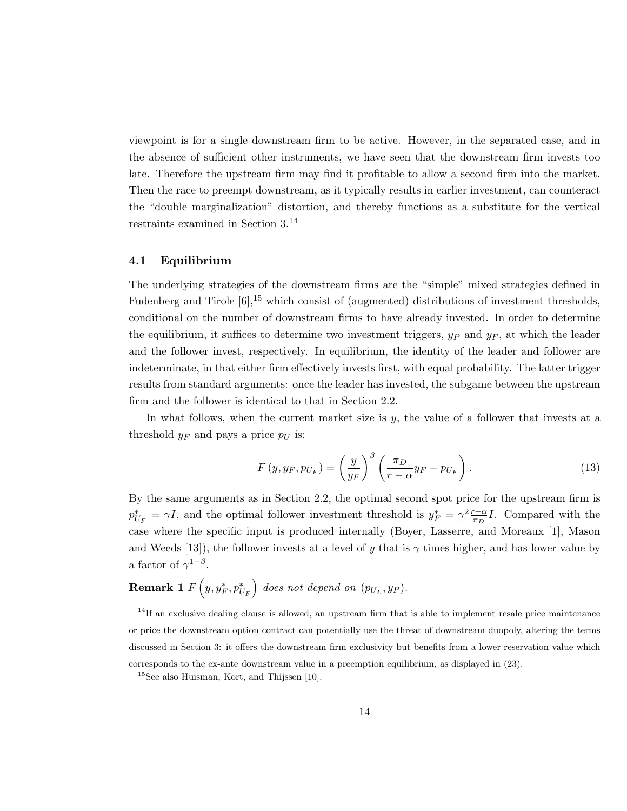viewpoint is for a single downstream firm to be active. However, in the separated case, and in the absence of sufficient other instruments, we have seen that the downstream firm invests too late. Therefore the upstream firm may find it profitable to allow a second firm into the market. Then the race to preempt downstream, as it typically results in earlier investment, can counteract the "double marginalization" distortion, and thereby functions as a substitute for the vertical restraints examined in Section 3.<sup>14</sup>

#### 4.1 Equilibrium

The underlying strategies of the downstream firms are the "simple" mixed strategies defined in Fudenberg and Tirole  $[6]$ ,<sup>15</sup> which consist of (augmented) distributions of investment thresholds, conditional on the number of downstream firms to have already invested. In order to determine the equilibrium, it suffices to determine two investment triggers,  $y_P$  and  $y_F$ , at which the leader and the follower invest, respectively. In equilibrium, the identity of the leader and follower are indeterminate, in that either firm effectively invests first, with equal probability. The latter trigger results from standard arguments: once the leader has invested, the subgame between the upstream firm and the follower is identical to that in Section 2.2.

In what follows, when the current market size is  $y$ , the value of a follower that invests at a threshold  $y_F$  and pays a price  $p_U$  is:

$$
F(y, y_F, p_{U_F}) = \left(\frac{y}{y_F}\right)^{\beta} \left(\frac{\pi_D}{r - \alpha} y_F - p_{U_F}\right). \tag{13}
$$

By the same arguments as in Section 2.2, the optimal second spot price for the upstream firm is  $p_{U_F}^* = \gamma I$ , and the optimal follower investment threshold is  $y_F^* = \gamma^2 \frac{r - \alpha}{\pi D}$  $\frac{\tau-\alpha}{\pi_D}I$ . Compared with the case where the specific input is produced internally (Boyer, Lasserre, and Moreaux [1], Mason and Weeds [13]), the follower invests at a level of y that is  $\gamma$  times higher, and has lower value by a factor of  $\gamma^{1-\beta}$ .

# **Remark 1**  $F\left(y, y_{F}^*, p_{U_F}^*\right)$  does not depend on  $(p_{U_L}, y_P)$ .

 $14$ If an exclusive dealing clause is allowed, an upstream firm that is able to implement resale price maintenance or price the downstream option contract can potentially use the threat of downstream duopoly, altering the terms discussed in Section 3: it offers the downstream firm exclusivity but benefits from a lower reservation value which corresponds to the ex-ante downstream value in a preemption equilibrium, as displayed in (23).

<sup>15</sup>See also Huisman, Kort, and Thijssen [10].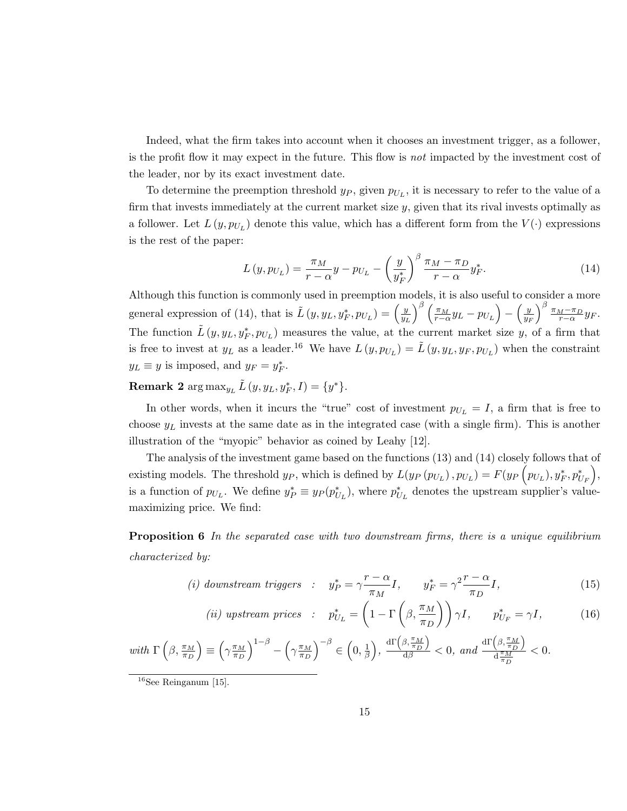Indeed, what the firm takes into account when it chooses an investment trigger, as a follower, is the profit flow it may expect in the future. This flow is not impacted by the investment cost of the leader, nor by its exact investment date.

To determine the preemption threshold  $y_P$ , given  $p_{U_L}$ , it is necessary to refer to the value of a firm that invests immediately at the current market size  $y$ , given that its rival invests optimally as a follower. Let  $L(y, p_{U_L})$  denote this value, which has a different form from the  $V(\cdot)$  expressions is the rest of the paper:

$$
L(y, p_{U_L}) = \frac{\pi_M}{r - \alpha} y - p_{U_L} - \left(\frac{y}{y_F^*}\right)^{\beta} \frac{\pi_M - \pi_D}{r - \alpha} y_F^*.
$$
 (14)

Although this function is commonly used in preemption models, it is also useful to consider a more general expression of (14), that is  $\tilde{L}(y, y_L, y_F^*, p_{U_L}) = \left(\frac{y_H}{y_H}\right)^2$  $\overline{y_L}$  $\int^{\beta}\left(\frac{\pi_{M}}{r-\alpha}y_{L}-p_{U_{L}}\right)-\left(\frac{y}{y_{R}}\right)$  $\overline{y_F}$  $\int_{0}^{\beta} \frac{\pi_M - \pi_D}{r - \alpha} y_F.$ The function  $\tilde{L}(y, y_L, y_F^*, p_{U_L})$  measures the value, at the current market size y, of a firm that is free to invest at  $y_L$  as a leader.<sup>16</sup> We have  $L(y, p_{U_L}) = \tilde{L}(y, y_L, y_F, p_{U_L})$  when the constraint  $y_L \equiv y$  is imposed, and  $y_F = y_F^*$ .

**Remark 2**  $\arg \max_{y_L} \tilde{L}(y, y_L, y_F^*, I) = \{y^*\}.$ 

In other words, when it incurs the "true" cost of investment  $p_{U_L} = I$ , a firm that is free to choose  $y_L$  invests at the same date as in the integrated case (with a single firm). This is another illustration of the "myopic" behavior as coined by Leahy [12].

The analysis of the investment game based on the functions (13) and (14) closely follows that of existing models. The threshold  $y_P$ , which is defined by  $L(y_P(p_{U_L}), p_{U_L}) = F(y_P(p_{U_L}), y_F^*, p_{U_F}^*)$ , is a function of  $p_{U_L}$ . We define  $y_P^* \equiv y_P(p_{U_L}^*)$ , where  $p_{U_L}^*$  denotes the upstream supplier's valuemaximizing price. We find:

**Proposition 6** In the separated case with two downstream firms, there is a unique equilibrium characterized by:

(i) downstream triggers : 
$$
y_P^* = \gamma \frac{r - \alpha}{\pi_M} I
$$
,  $y_F^* = \gamma^2 \frac{r - \alpha}{\pi_D} I$ , (15)

(*ii*) upstream prices : 
$$
p_{U_L}^* = \left(1 - \Gamma\left(\beta, \frac{\pi_M}{\pi_D}\right)\right) \gamma I, \quad p_{U_F}^* = \gamma I,
$$
 (16)

with 
$$
\Gamma\left(\beta, \frac{\pi_M}{\pi_D}\right) \equiv \left(\gamma \frac{\pi_M}{\pi_D}\right)^{1-\beta} - \left(\gamma \frac{\pi_M}{\pi_D}\right)^{-\beta} \in \left(0, \frac{1}{\beta}\right), \frac{\mathrm{d}\Gamma\left(\beta, \frac{\pi_M}{\pi_D}\right)}{\mathrm{d}\beta} < 0, \text{ and } \frac{\mathrm{d}\Gamma\left(\beta, \frac{\pi_M}{\pi_D}\right)}{\mathrm{d}\frac{\pi_M}{\pi_D}} < 0.
$$

 $16$ See Reinganum [15].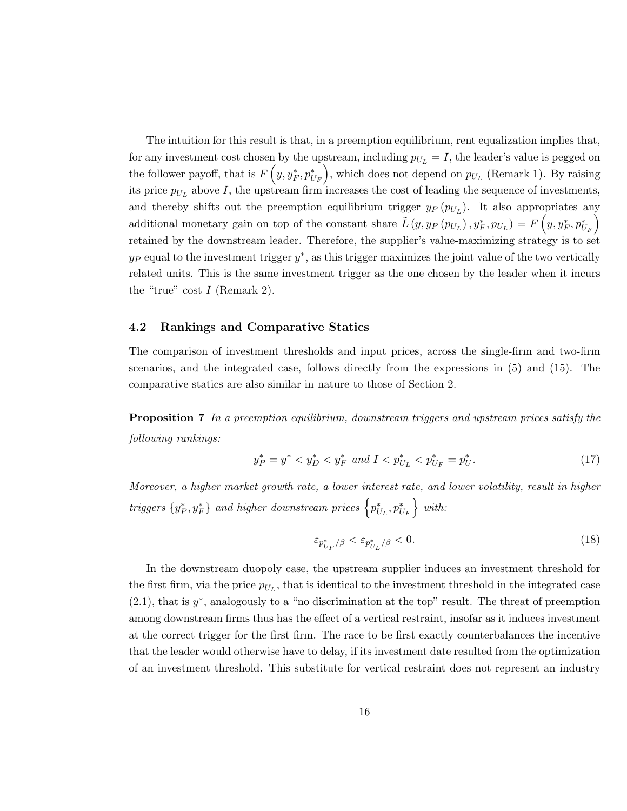The intuition for this result is that, in a preemption equilibrium, rent equalization implies that, for any investment cost chosen by the upstream, including  $p_{U_L} = I$ , the leader's value is pegged on the follower payoff, that is  $F(y, y_F^*, p_{U_F}^*)$ , which does not depend on  $p_{U_L}$  (Remark 1). By raising its price  $p_{U_L}$  above I, the upstream firm increases the cost of leading the sequence of investments, and thereby shifts out the preemption equilibrium trigger  $y_P(p_{U_L})$ . It also appropriates any additional monetary gain on top of the constant share  $\tilde{L}(y, y_P(p_{U_L}), y_F^*, p_{U_L}) = F(y, y_F^*, p_{U_F}^*)$ retained by the downstream leader. Therefore, the supplier's value-maximizing strategy is to set  $y_P$  equal to the investment trigger  $y^*$ , as this trigger maximizes the joint value of the two vertically related units. This is the same investment trigger as the one chosen by the leader when it incurs the "true" cost  $I$  (Remark 2).

## 4.2 Rankings and Comparative Statics

The comparison of investment thresholds and input prices, across the single-firm and two-firm scenarios, and the integrated case, follows directly from the expressions in (5) and (15). The comparative statics are also similar in nature to those of Section 2.

Proposition 7 In a preemption equilibrium, downstream triggers and upstream prices satisfy the following rankings:

$$
y_P^* = y^* < y_D^* < y_F^* \text{ and } I < p_{U_L}^* < p_{U_F}^* = p_U^* \tag{17}
$$

Moreover, a higher market growth rate, a lower interest rate, and lower volatility, result in higher  $\textrm{triggers~} \{y_P^*, y_F^*\} \hspace{.2cm} and \hspace{.2cm} higher \hspace{.2cm}downstream \hspace{.2cm} prices \hspace{.2cm} \Big\{p_{U_L}^*, p_{U_F}^*\Big\} \hspace{.2cm} with:$ 

$$
\varepsilon_{p_{U_F}^*/\beta} < \varepsilon_{p_{U_L}^*/\beta} < 0. \tag{18}
$$

In the downstream duopoly case, the upstream supplier induces an investment threshold for the first firm, via the price  $p_{U_L}$ , that is identical to the investment threshold in the integrated case  $(2.1)$ , that is  $y^*$ , analogously to a "no discrimination at the top" result. The threat of preemption among downstream firms thus has the effect of a vertical restraint, insofar as it induces investment at the correct trigger for the first firm. The race to be first exactly counterbalances the incentive that the leader would otherwise have to delay, if its investment date resulted from the optimization of an investment threshold. This substitute for vertical restraint does not represent an industry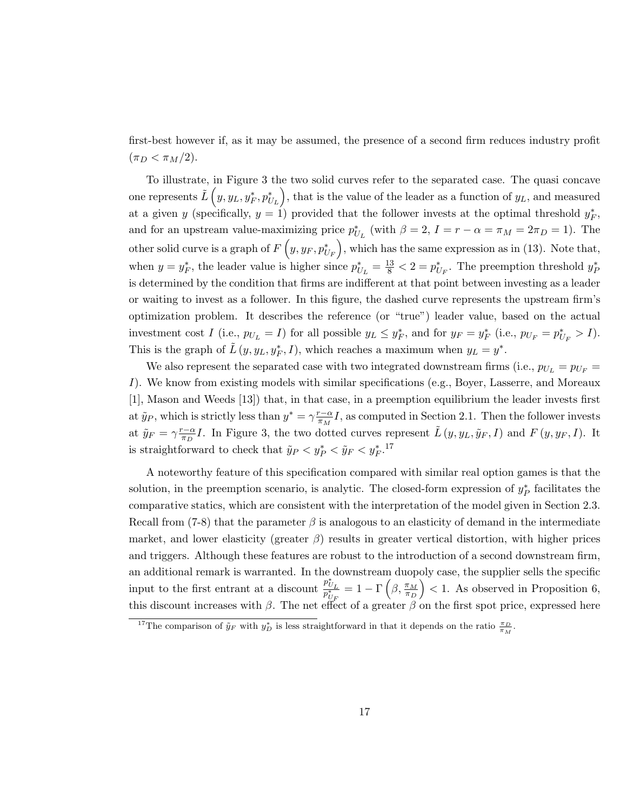first-best however if, as it may be assumed, the presence of a second firm reduces industry profit  $(\pi_D < \pi_M/2).$ 

To illustrate, in Figure 3 the two solid curves refer to the separated case. The quasi concave one represents  $\tilde{L}\left(y,y_L,y_F^*,p_{U_L}^*\right)$ , that is the value of the leader as a function of  $y_L$ , and measured at a given y (specifically,  $y = 1$ ) provided that the follower invests at the optimal threshold  $y_F^*$ , and for an upstream value-maximizing price  $p_{U_L}^*$  (with  $\beta = 2$ ,  $I = r - \alpha = \pi_M = 2\pi_D = 1$ ). The other solid curve is a graph of  $F(y, y_F, p_{U_F}^*)$ , which has the same expression as in (13). Note that, when  $y = y_F^*$ , the leader value is higher since  $p_{U_L}^* = \frac{13}{8} < 2 = p_{U_F}^*$ . The preemption threshold  $y_F^*$ is determined by the condition that firms are indifferent at that point between investing as a leader or waiting to invest as a follower. In this figure, the dashed curve represents the upstream firm's optimization problem. It describes the reference (or "true") leader value, based on the actual investment cost I (i.e.,  $p_{U_L} = I$ ) for all possible  $y_L \leq y_F^*$ , and for  $y_F = y_F^*$  (i.e.,  $p_{U_F} = p_{U_F}^* > I$ ). This is the graph of  $\tilde{L}(y, y_L, y_F^*, I)$ , which reaches a maximum when  $y_L = y^*$ .

We also represent the separated case with two integrated downstream firms (i.e.,  $p_{U_L} = p_{U_F}$ ) I). We know from existing models with similar specifications (e.g., Boyer, Lasserre, and Moreaux [1], Mason and Weeds [13]) that, in that case, in a preemption equilibrium the leader invests first at  $\tilde{y}_P$ , which is strictly less than  $y^* = \gamma \frac{r-\alpha}{\pi M}$  $\frac{r-\alpha}{\pi_M}I$ , as computed in Section 2.1. Then the follower invests at  $\tilde{y}_F = \gamma \frac{r - \alpha}{\pi R}$  $\frac{\tau-\alpha}{\pi_D}I$ . In Figure 3, the two dotted curves represent  $\tilde{L}(y, y_L, \tilde{y}_F, I)$  and  $F(y, y_F, I)$ . It is straightforward to check that  $\tilde{y}_P < y_P^* < \tilde{y}_F < y_F^{*}$ .<sup>17</sup>

A noteworthy feature of this specification compared with similar real option games is that the solution, in the preemption scenario, is analytic. The closed-form expression of  $y_P^*$  facilitates the comparative statics, which are consistent with the interpretation of the model given in Section 2.3. Recall from (7-8) that the parameter  $\beta$  is analogous to an elasticity of demand in the intermediate market, and lower elasticity (greater  $\beta$ ) results in greater vertical distortion, with higher prices and triggers. Although these features are robust to the introduction of a second downstream firm, an additional remark is warranted. In the downstream duopoly case, the supplier sells the specific input to the first entrant at a discount  $\frac{p_{U_L}^*}{p_{U_F}^*} = 1 - \Gamma\left(\beta, \frac{\pi_M}{\pi_D}\right)$  $($  < 1. As observed in Proposition 6, this discount increases with  $\beta$ . The net effect of a greater  $\beta$  on the first spot price, expressed here

<sup>&</sup>lt;sup>17</sup>The comparison of  $\tilde{y}_F$  with  $y_D^*$  is less straightforward in that it depends on the ratio  $\frac{\pi_D}{\pi_M}$ .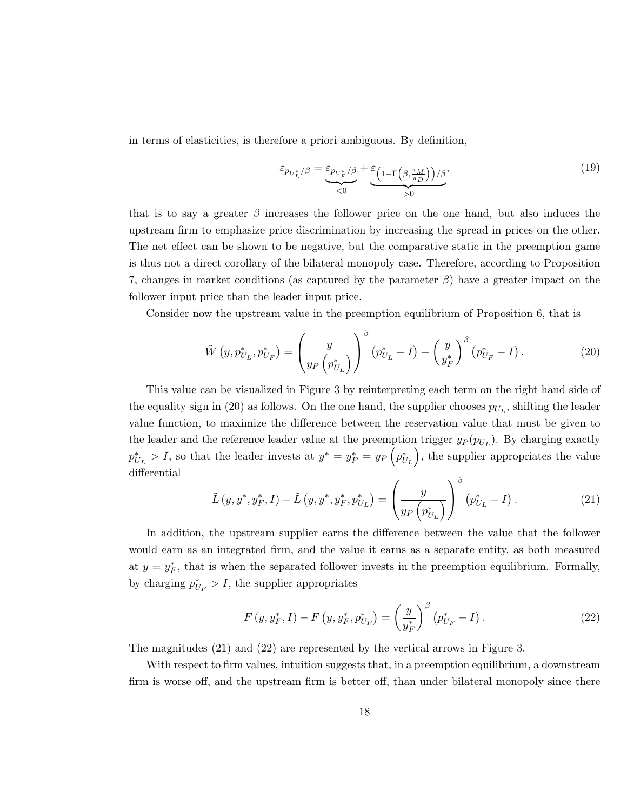in terms of elasticities, is therefore a priori ambiguous. By definition,

$$
\varepsilon_{p_{U_L^*}/\beta} = \underbrace{\varepsilon_{p_{U_F^*}/\beta}}_{<0} + \underbrace{\varepsilon_{\left(1-\Gamma\left(\beta, \frac{\pi_M}{\pi_D}\right)\right)/\beta}}_{>0},\tag{19}
$$

that is to say a greater  $\beta$  increases the follower price on the one hand, but also induces the upstream firm to emphasize price discrimination by increasing the spread in prices on the other. The net effect can be shown to be negative, but the comparative static in the preemption game is thus not a direct corollary of the bilateral monopoly case. Therefore, according to Proposition 7, changes in market conditions (as captured by the parameter  $\beta$ ) have a greater impact on the follower input price than the leader input price.

Consider now the upstream value in the preemption equilibrium of Proposition 6, that is

$$
\tilde{W}\left(y, p_{U_L}^*, p_{U_F}^*\right) = \left(\frac{y}{y_P\left(p_{U_L}^*\right)}\right)^{\beta} \left(p_{U_L}^* - I\right) + \left(\frac{y}{y_F^*}\right)^{\beta} \left(p_{U_F}^* - I\right). \tag{20}
$$

This value can be visualized in Figure 3 by reinterpreting each term on the right hand side of the equality sign in (20) as follows. On the one hand, the supplier chooses  $p_{U_L}$ , shifting the leader value function, to maximize the difference between the reservation value that must be given to the leader and the reference leader value at the preemption trigger  $y_P (p_{U_L})$ . By charging exactly  $p_{U_L}^* > I$ , so that the leader invests at  $y^* = y_P^* = y_P(p_{U_L}^*)$ , the supplier appropriates the value differential

$$
\tilde{L}(y, y^*, y_F^*, I) - \tilde{L}(y, y^*, y_F^*, p_{U_L}^*) = \left(\frac{y}{y_P(p_{U_L}^*)}\right)^{\beta} (p_{U_L}^* - I). \tag{21}
$$

In addition, the upstream supplier earns the difference between the value that the follower would earn as an integrated firm, and the value it earns as a separate entity, as both measured at  $y = y_F^*$ , that is when the separated follower invests in the preemption equilibrium. Formally, by charging  $p_{U_F}^* > I$ , the supplier appropriates

$$
F(y, y_F^*, I) - F(y, y_F^*, p_{U_F}^*) = \left(\frac{y}{y_F^*}\right)^{\beta} (p_{U_F}^* - I).
$$
 (22)

The magnitudes (21) and (22) are represented by the vertical arrows in Figure 3.

With respect to firm values, intuition suggests that, in a preemption equilibrium, a downstream firm is worse off, and the upstream firm is better off, than under bilateral monopoly since there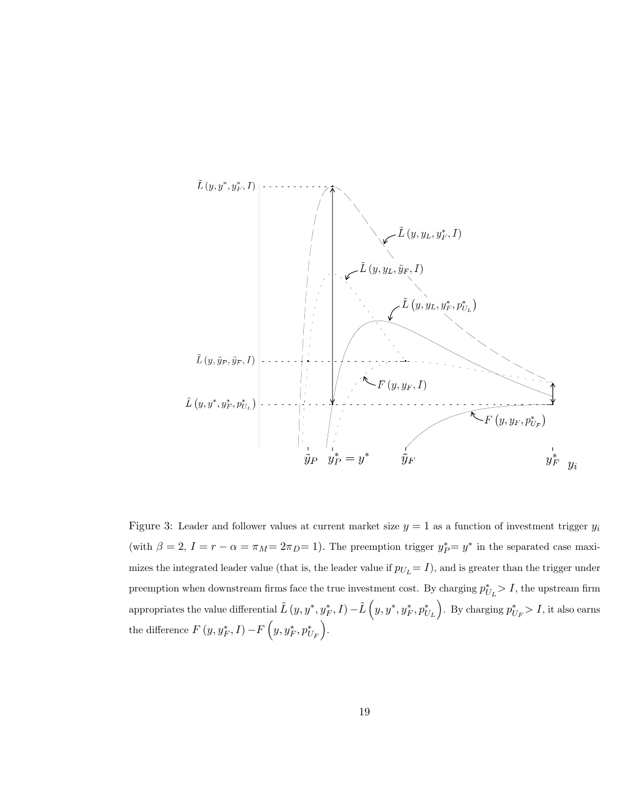

Figure 3: Leader and follower values at current market size  $y = 1$  as a function of investment trigger  $y_i$ (with  $\beta = 2$ ,  $I = r - \alpha = \pi_M = 2\pi_D = 1$ ). The preemption trigger  $y_P^* = y^*$  in the separated case maximizes the integrated leader value (that is, the leader value if  $p_{U_L} = I$ ), and is greater than the trigger under preemption when downstream firms face the true investment cost. By charging  $p_{U_L}^* > I$ , the upstream firm appropriates the value differential  $\tilde{L}\left(y,y^*,y_{F}^*,I\right)-\tilde{L}\left(y,y^*,y_{F}^*,p_{U_L}^*\right)$ . By charging  $p_{U_F}^*>I$ , it also earns the difference  $F(y, y_F^*, I) - F(y, y_F^*, p_{U_F}^*)$ .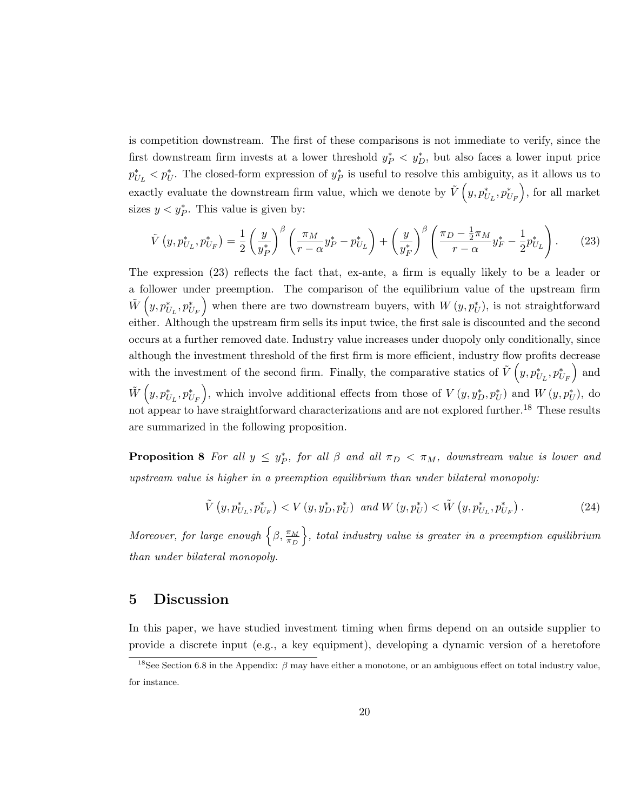is competition downstream. The first of these comparisons is not immediate to verify, since the first downstream firm invests at a lower threshold  $y_P^* \leq y_D^*$ , but also faces a lower input price  $p_{U_L}^* < p_U^*$ . The closed-form expression of  $y_P^*$  is useful to resolve this ambiguity, as it allows us to exactly evaluate the downstream firm value, which we denote by  $\tilde{V}\left(y, p_{U_L}^*, p_{U_F}^*\right)$ , for all market sizes  $y < y_P^*$ . This value is given by:

$$
\tilde{V}\left(y, p_{U_L}^*, p_{U_F}^*\right) = \frac{1}{2} \left(\frac{y}{y_P^*}\right)^{\beta} \left(\frac{\pi_M}{r - \alpha} y_P^* - p_{U_L}^*\right) + \left(\frac{y}{y_F^*}\right)^{\beta} \left(\frac{\pi_D - \frac{1}{2}\pi_M}{r - \alpha} y_F^* - \frac{1}{2} p_{U_L}^*\right). \tag{23}
$$

The expression (23) reflects the fact that, ex-ante, a firm is equally likely to be a leader or a follower under preemption. The comparison of the equilibrium value of the upstream firm  $\tilde{W}\left(y,p_{U_L}^*,p_{U_F}^*\right)$  when there are two downstream buyers, with  $W\left(y,p_U^*\right)$ , is not straightforward either. Although the upstream firm sells its input twice, the first sale is discounted and the second occurs at a further removed date. Industry value increases under duopoly only conditionally, since although the investment threshold of the first firm is more efficient, industry flow profits decrease with the investment of the second firm. Finally, the comparative statics of  $\tilde{V}\left(y, p_{U_L}^*, p_{U_F}^*\right)$  and  $\tilde{W}\left(y, p_{U_L}^*, p_{U_F}^*\right)$ , which involve additional effects from those of  $V\left(y, y_D^*, p_U^*\right)$  and  $W\left(y, p_U^*\right)$ , do not appear to have straightforward characterizations and are not explored further.<sup>18</sup> These results are summarized in the following proposition.

**Proposition 8** For all  $y \leq y_P^*$ , for all  $\beta$  and all  $\pi_D < \pi_M$ , downstream value is lower and upstream value is higher in a preemption equilibrium than under bilateral monopoly:

$$
\tilde{V}\left(y, p_{U_L}^*, p_{U_F}^*\right) < V\left(y, y_D^*, p_U^*\right) \text{ and } W\left(y, p_U^*\right) < \tilde{W}\left(y, p_{U_L}^*, p_{U_F}^*\right). \tag{24}
$$

Moreover, for large enough  $\left\{\beta, \frac{\pi_M}{\pi_D}\right\}$  $\},\$  total industry value is greater in a preemption equilibrium than under bilateral monopoly.

## 5 Discussion

In this paper, we have studied investment timing when firms depend on an outside supplier to provide a discrete input (e.g., a key equipment), developing a dynamic version of a heretofore

<sup>&</sup>lt;sup>18</sup>See Section 6.8 in the Appendix:  $\beta$  may have either a monotone, or an ambiguous effect on total industry value, for instance.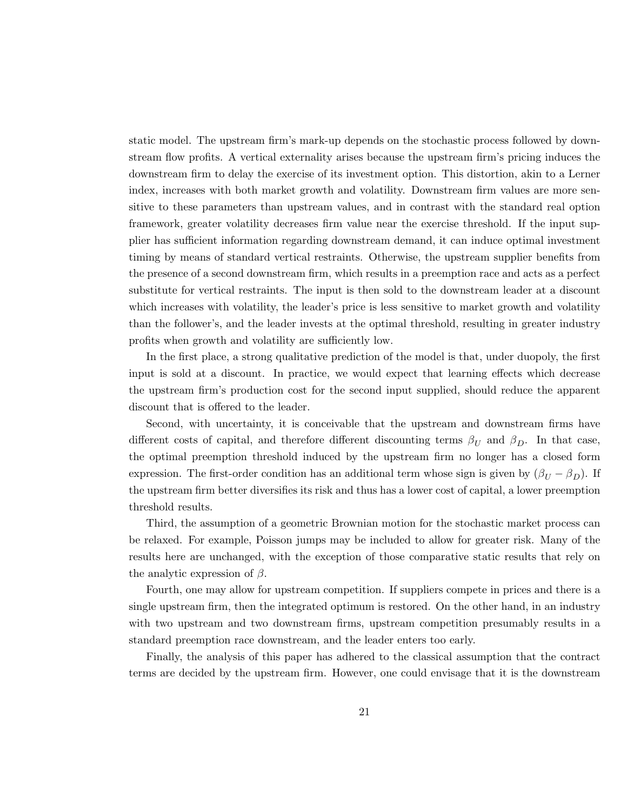static model. The upstream firm's mark-up depends on the stochastic process followed by downstream flow profits. A vertical externality arises because the upstream firm's pricing induces the downstream firm to delay the exercise of its investment option. This distortion, akin to a Lerner index, increases with both market growth and volatility. Downstream firm values are more sensitive to these parameters than upstream values, and in contrast with the standard real option framework, greater volatility decreases firm value near the exercise threshold. If the input supplier has sufficient information regarding downstream demand, it can induce optimal investment timing by means of standard vertical restraints. Otherwise, the upstream supplier benefits from the presence of a second downstream firm, which results in a preemption race and acts as a perfect substitute for vertical restraints. The input is then sold to the downstream leader at a discount which increases with volatility, the leader's price is less sensitive to market growth and volatility than the follower's, and the leader invests at the optimal threshold, resulting in greater industry profits when growth and volatility are sufficiently low.

In the first place, a strong qualitative prediction of the model is that, under duopoly, the first input is sold at a discount. In practice, we would expect that learning effects which decrease the upstream firm's production cost for the second input supplied, should reduce the apparent discount that is offered to the leader.

Second, with uncertainty, it is conceivable that the upstream and downstream firms have different costs of capital, and therefore different discounting terms  $\beta_U$  and  $\beta_D$ . In that case, the optimal preemption threshold induced by the upstream firm no longer has a closed form expression. The first-order condition has an additional term whose sign is given by  $(\beta_U - \beta_D)$ . If the upstream firm better diversifies its risk and thus has a lower cost of capital, a lower preemption threshold results.

Third, the assumption of a geometric Brownian motion for the stochastic market process can be relaxed. For example, Poisson jumps may be included to allow for greater risk. Many of the results here are unchanged, with the exception of those comparative static results that rely on the analytic expression of  $\beta$ .

Fourth, one may allow for upstream competition. If suppliers compete in prices and there is a single upstream firm, then the integrated optimum is restored. On the other hand, in an industry with two upstream and two downstream firms, upstream competition presumably results in a standard preemption race downstream, and the leader enters too early.

Finally, the analysis of this paper has adhered to the classical assumption that the contract terms are decided by the upstream firm. However, one could envisage that it is the downstream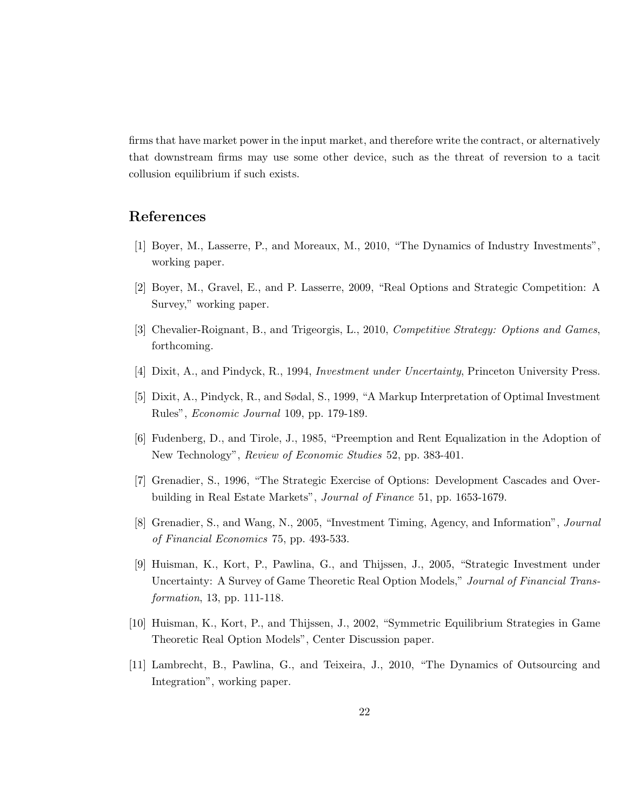firms that have market power in the input market, and therefore write the contract, or alternatively that downstream firms may use some other device, such as the threat of reversion to a tacit collusion equilibrium if such exists.

## References

- [1] Boyer, M., Lasserre, P., and Moreaux, M., 2010, "The Dynamics of Industry Investments", working paper.
- [2] Boyer, M., Gravel, E., and P. Lasserre, 2009, "Real Options and Strategic Competition: A Survey," working paper.
- [3] Chevalier-Roignant, B., and Trigeorgis, L., 2010, Competitive Strategy: Options and Games, forthcoming.
- [4] Dixit, A., and Pindyck, R., 1994, Investment under Uncertainty, Princeton University Press.
- [5] Dixit, A., Pindyck, R., and Sødal, S., 1999, "A Markup Interpretation of Optimal Investment Rules", Economic Journal 109, pp. 179-189.
- [6] Fudenberg, D., and Tirole, J., 1985, "Preemption and Rent Equalization in the Adoption of New Technology", Review of Economic Studies 52, pp. 383-401.
- [7] Grenadier, S., 1996, "The Strategic Exercise of Options: Development Cascades and Overbuilding in Real Estate Markets", Journal of Finance 51, pp. 1653-1679.
- [8] Grenadier, S., and Wang, N., 2005, "Investment Timing, Agency, and Information", Journal of Financial Economics 75, pp. 493-533.
- [9] Huisman, K., Kort, P., Pawlina, G., and Thijssen, J., 2005, "Strategic Investment under Uncertainty: A Survey of Game Theoretic Real Option Models," Journal of Financial Transformation, 13, pp. 111-118.
- [10] Huisman, K., Kort, P., and Thijssen, J., 2002, "Symmetric Equilibrium Strategies in Game Theoretic Real Option Models", Center Discussion paper.
- [11] Lambrecht, B., Pawlina, G., and Teixeira, J., 2010, "The Dynamics of Outsourcing and Integration", working paper.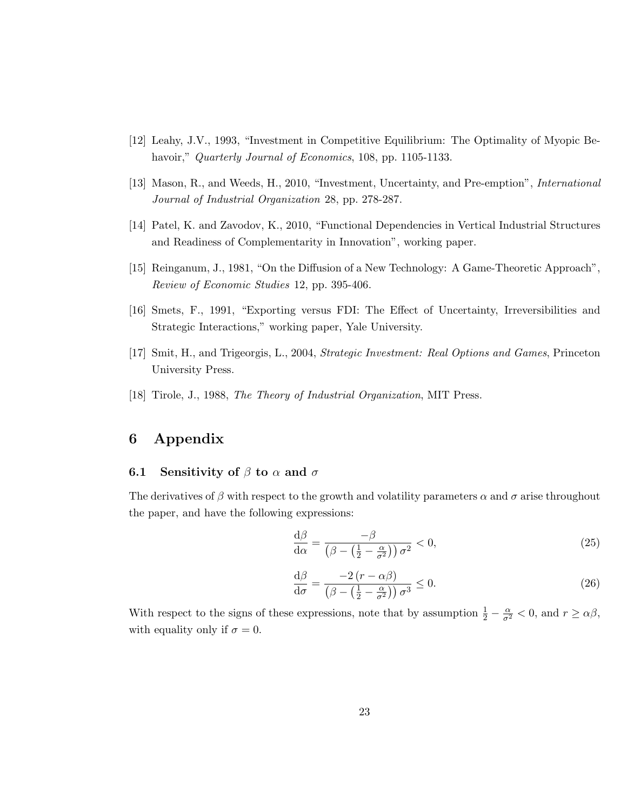- [12] Leahy, J.V., 1993, "Investment in Competitive Equilibrium: The Optimality of Myopic Behavoir," Quarterly Journal of Economics, 108, pp. 1105-1133.
- [13] Mason, R., and Weeds, H., 2010, "Investment, Uncertainty, and Pre-emption", International Journal of Industrial Organization 28, pp. 278-287.
- [14] Patel, K. and Zavodov, K., 2010, "Functional Dependencies in Vertical Industrial Structures and Readiness of Complementarity in Innovation", working paper.
- [15] Reinganum, J., 1981, "On the Diffusion of a New Technology: A Game-Theoretic Approach", Review of Economic Studies 12, pp. 395-406.
- [16] Smets, F., 1991, "Exporting versus FDI: The Effect of Uncertainty, Irreversibilities and Strategic Interactions," working paper, Yale University.
- [17] Smit, H., and Trigeorgis, L., 2004, Strategic Investment: Real Options and Games, Princeton University Press.
- [18] Tirole, J., 1988, The Theory of Industrial Organization, MIT Press.

## 6 Appendix

## 6.1 Sensitivity of  $\beta$  to  $\alpha$  and  $\sigma$

The derivatives of  $\beta$  with respect to the growth and volatility parameters  $\alpha$  and  $\sigma$  arise throughout the paper, and have the following expressions:

$$
\frac{\mathrm{d}\beta}{\mathrm{d}\alpha} = \frac{-\beta}{\left(\beta - \left(\frac{1}{2} - \frac{\alpha}{\sigma^2}\right)\right)\sigma^2} < 0,\tag{25}
$$

$$
\frac{\mathrm{d}\beta}{\mathrm{d}\sigma} = \frac{-2\left(r - \alpha\beta\right)}{\left(\beta - \left(\frac{1}{2} - \frac{\alpha}{\sigma^2}\right)\right)\sigma^3} \le 0. \tag{26}
$$

With respect to the signs of these expressions, note that by assumption  $\frac{1}{2} - \frac{\alpha}{\sigma^2} < 0$ , and  $r \ge \alpha\beta$ , with equality only if  $\sigma = 0$ .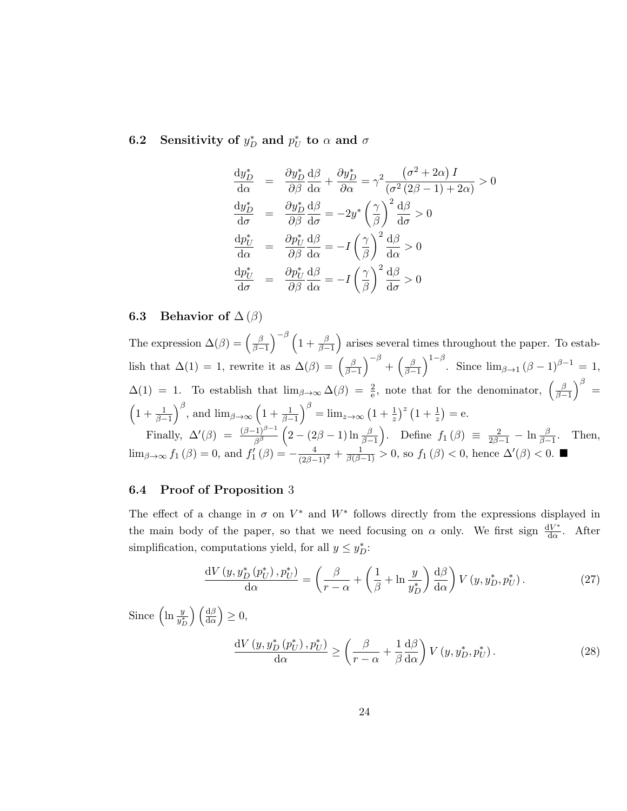## 6.2 Sensitivity of  $y_D^*$  and  $p_U^*$  to  $\alpha$  and  $\sigma$

$$
\frac{dy_D^*}{d\alpha} = \frac{\partial y_D^*}{\partial \beta} \frac{d\beta}{d\alpha} + \frac{\partial y_D^*}{\partial \alpha} = \gamma^2 \frac{(\sigma^2 + 2\alpha) I}{(\sigma^2 (2\beta - 1) + 2\alpha)} > 0
$$
  
\n
$$
\frac{dy_D^*}{d\sigma} = \frac{\partial y_D^*}{\partial \beta} \frac{d\beta}{d\sigma} = -2y^* \left(\frac{\gamma}{\beta}\right)^2 \frac{d\beta}{d\sigma} > 0
$$
  
\n
$$
\frac{dp_U^*}{d\alpha} = \frac{\partial p_U^*}{\partial \beta} \frac{d\beta}{d\alpha} = -I \left(\frac{\gamma}{\beta}\right)^2 \frac{d\beta}{d\alpha} > 0
$$
  
\n
$$
\frac{dp_U^*}{d\sigma} = \frac{\partial p_U^*}{\partial \beta} \frac{d\beta}{d\alpha} = -I \left(\frac{\gamma}{\beta}\right)^2 \frac{d\beta}{d\sigma} > 0
$$

## 6.3 Behavior of  $\Delta(\beta)$

The expression  $\Delta(\beta) = \left(\frac{\beta}{\beta - \beta}\right)$  $\left(\frac{\beta}{\beta-1}\right)^{-\beta}\left(1+\frac{\beta}{\beta-1}\right)$  arises several times throughout the paper. To establish that  $\Delta(1) = 1$ , rewrite it as  $\Delta(\beta) = \left(\frac{\beta}{\beta - 1}\right)$  $\left(\frac{\beta}{\beta-1}\right)^{-\beta}+\left(\frac{\beta}{\beta-1}\right)$  $\left(\frac{\beta}{\beta-1}\right)^{1-\beta}$ . Since  $\lim_{\beta\to 1} (\beta-1)^{\beta-1} = 1$ ,  $\Delta(1) = 1$ . To establish that  $\lim_{\beta \to \infty} \Delta(\beta) = \frac{2}{e}$ , note that for the denominator,  $\left(\frac{\beta}{\beta - 1}\right)$  $\left(\frac{\beta}{\beta-1}\right)^{\beta} =$  $\left(1+\frac{1}{\beta-1}\right)^{\beta}$ , and  $\lim_{\beta\to\infty}\left(1+\frac{1}{\beta-1}\right)^{\beta} = \lim_{z\to\infty}\left(1+\frac{1}{z}\right)^{z}\left(1+\frac{1}{z}\right) = e$ . Finally,  $\Delta'(\beta) = \frac{(\beta-1)^{\beta-1}}{\beta^{\beta}} \left(2 - (2\beta - 1) \ln \frac{\beta}{\beta-1}\right)$ . Define  $f_1(\beta) \equiv \frac{2}{2\beta-1} - \ln \frac{\beta}{\beta-1}$ . Then,

 $\lim_{\beta \to \infty} f_1(\beta) = 0$ , and  $f'_1(\beta) = -\frac{4}{(2\beta-1)^2} + \frac{1}{\beta(\beta-1)} > 0$ , so  $f_1(\beta) < 0$ , hence  $\Delta'(\beta) < 0$ .

## 6.4 Proof of Proposition 3

The effect of a change in  $\sigma$  on  $V^*$  and  $W^*$  follows directly from the expressions displayed in the main body of the paper, so that we need focusing on  $\alpha$  only. We first sign  $\frac{dV^*}{d\alpha}$  $rac{1V^*}{d\alpha}$ . After simplification, computations yield, for all  $y \leq y_D^*$ :

$$
\frac{\mathrm{d}V\left(y, y_D^*\left(p_U^*\right), p_U^*\right)}{\mathrm{d}\alpha} = \left(\frac{\beta}{r-\alpha} + \left(\frac{1}{\beta} + \ln\frac{y}{y_D^*}\right)\frac{\mathrm{d}\beta}{\mathrm{d}\alpha}\right)V\left(y, y_D^*, p_U^*\right). \tag{27}
$$

Since  $\left(\ln \frac{y}{y_D^*}\right)$  $\left(\frac{\mathrm{d}\beta}{\mathrm{d}\alpha}\right)\geq 0,$ 

$$
\frac{\mathrm{d}V\left(y,y_D^*\left(p_U^*\right),p_U^*\right)}{\mathrm{d}\alpha} \ge \left(\frac{\beta}{r-\alpha} + \frac{1}{\beta}\frac{\mathrm{d}\beta}{\mathrm{d}\alpha}\right)V\left(y,y_D^*,p_U^*\right). \tag{28}
$$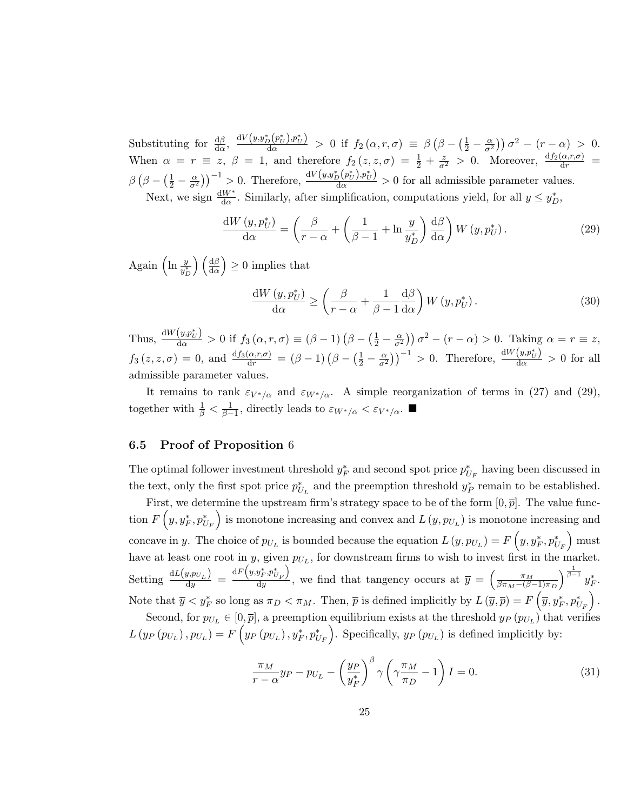Substituting for  $\frac{d\beta}{d\alpha}$ ,  $\frac{dV(y,y_D^*(p_U^*),p_U^*)}{d\alpha} > 0$  if  $f_2(\alpha,r,\sigma) \equiv \beta \left(\beta - \left(\frac{1}{2} - \frac{\alpha}{\sigma^2}\right)\right)\sigma^2 - \left(r - \alpha\right) > 0$ . When  $\alpha = r \equiv z, \ \beta = 1$ , and therefore  $f_2(z, z, \sigma) = \frac{1}{2} + \frac{z}{\sigma^2} > 0$ . Moreover,  $\frac{df_2(\alpha, r, \sigma)}{dr} =$  $\beta \left(\beta - \left(\frac{1}{2} - \frac{\alpha}{\sigma^2}\right)\right)^{-1} > 0$ . Therefore,  $\frac{dV(y, y_D^*(p_U^*), p_U^*)}{d\alpha} > 0$  for all admissible parameter values. Next, we sign  $\frac{dW^*}{d\alpha}$ . Similarly, after simplification, computations yield, for all  $y \leq y_D^*$ ,

$$
\frac{\mathrm{d}W\left(y,p_{U}^{*}\right)}{\mathrm{d}\alpha} = \left(\frac{\beta}{r-\alpha} + \left(\frac{1}{\beta-1} + \ln\frac{y}{y_{D}^{*}}\right)\frac{\mathrm{d}\beta}{\mathrm{d}\alpha}\right)W\left(y,p_{U}^{*}\right). \tag{29}
$$

Again (ln  $\frac{y}{y_D^*}$  $\left(\frac{d\beta}{d\alpha}\right) \geq 0$  implies that

$$
\frac{\mathrm{d}W\left(y,p_{U}^{*}\right)}{\mathrm{d}\alpha} \ge \left(\frac{\beta}{r-\alpha} + \frac{1}{\beta-1} \frac{\mathrm{d}\beta}{\mathrm{d}\alpha}\right) W\left(y,p_{U}^{*}\right). \tag{30}
$$

Thus,  $\frac{dW(y,p_U^*)}{d\alpha} > 0$  if  $f_3(\alpha, r, \sigma) \equiv (\beta - 1)(\beta - (\frac{1}{2} - \frac{\alpha}{\sigma^2}))\sigma^2 - (r - \alpha) > 0$ . Taking  $\alpha = r \equiv z$ ,  $f_3(z, z, \sigma) = 0$ , and  $\frac{df_3(\alpha, r, \sigma)}{dr} = (\beta - 1)(\beta - (\frac{1}{2} - \frac{\alpha}{\sigma^2}))^{-1} > 0$ . Therefore,  $\frac{dW(y, p_t^*)}{d\alpha} > 0$  for all admissible parameter values.

It remains to rank  $\varepsilon_{V^*/\alpha}$  and  $\varepsilon_{W^*/\alpha}$ . A simple reorganization of terms in (27) and (29), together with  $\frac{1}{\beta} < \frac{1}{\beta - 1}$ , directly leads to  $\varepsilon_{W^*/\alpha} < \varepsilon_{V^*/\alpha}$ .

### 6.5 Proof of Proposition 6

The optimal follower investment threshold  $y_F^*$  and second spot price  $p_{U_F}^*$  having been discussed in the text, only the first spot price  $p_{U_L}^*$  and the preemption threshold  $y_P^*$  remain to be established.

First, we determine the upstream firm's strategy space to be of the form  $[0, \bar{p}]$ . The value function  $F(y, y_F^*, p_{U_F}^*)$  is monotone increasing and convex and  $L(y, p_{U_L})$  is monotone increasing and concave in y. The choice of  $p_{U_L}$  is bounded because the equation  $L(y, p_{U_L}) = F(y, y_F^*, p_{U_F}^*)$  must have at least one root in y, given  $p_{U_L}$ , for downstream firms to wish to invest first in the market. Setting  $\frac{dL(y, p_{U_L})}{dy} = \frac{dF(y, y_F^*, p_{U_F}^*)}{dy}$  $\frac{\partial \hat{F}_{\mathcal{F}} \mathcal{P} \hat{U}_{\mathcal{F}}}{\partial \mathcal{F}}$ , we find that tangency occurs at  $\overline{y} = \left(\frac{\pi_M}{\beta \pi_M - (\beta \cdot \nabla \cdot \nabla \cdot \nabla \cdot \nabla \cdot \nabla \cdot \nabla \cdot \nabla \cdot \nabla \cdot \nabla \cdot \nabla \cdot \nabla \cdot \nabla \cdot \nabla \cdot \nabla \cdot \nabla \cdot \nabla \cdot \nabla \cdot \nabla \cdot \nabla \cdot \nabla$  $\beta \pi_M-(\beta-1)\pi_D$  $\Big)^{\frac{1}{\beta-1}}y_{F}^{\ast}.$ Note that  $\overline{y} < y_F^*$  so long as  $\pi_D < \pi_M$ . Then,  $\overline{p}$  is defined implicitly by  $L(\overline{y}, \overline{p}) = F(\overline{y}, y_F^*, p_{U_F}^*)$ .

Second, for  $p_{U_L} \in [0, \bar{p}]$ , a preemption equilibrium exists at the threshold  $y_P(p_{U_L})$  that verifies  $L(y_P(p_{U_L}), p_{U_L}) = F(y_P(p_{U_L}), y_F^*, p_{U_F}^*).$  Specifically,  $y_P(p_{U_L})$  is defined implicitly by:

$$
\frac{\pi_M}{r-\alpha}y_P - p_{U_L} - \left(\frac{y_P}{y_F^*}\right)^{\beta} \gamma \left(\gamma \frac{\pi_M}{\pi_D} - 1\right) I = 0.
$$
\n(31)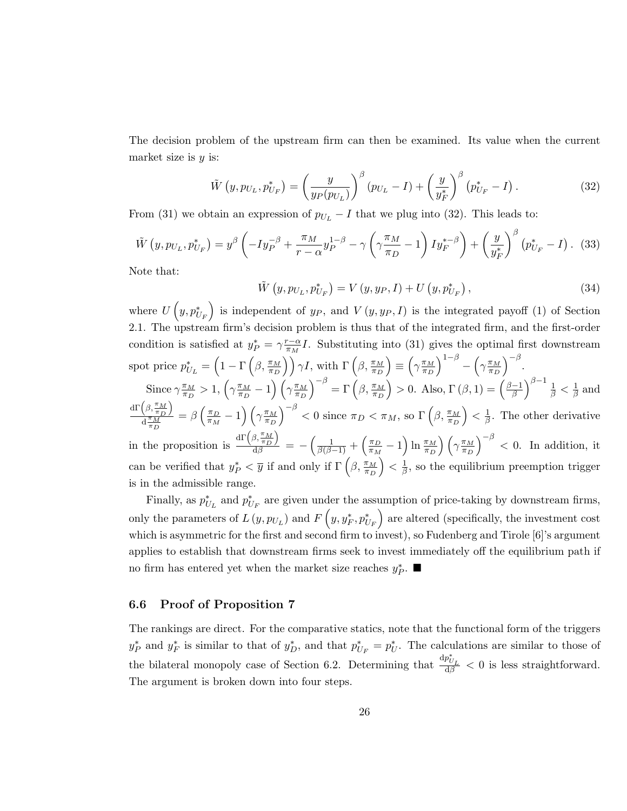The decision problem of the upstream firm can then be examined. Its value when the current market size is  $y$  is:

$$
\tilde{W}(y, p_{U_L}, p_{U_F}^*) = \left(\frac{y}{y_P(p_{U_L})}\right)^{\beta} (p_{U_L} - I) + \left(\frac{y}{y_F^*}\right)^{\beta} (p_{U_F}^* - I). \tag{32}
$$

From (31) we obtain an expression of  $p_{U_L} - I$  that we plug into (32). This leads to:

$$
\tilde{W}\left(y, p_{U_L}, p_{U_F}^*\right) = y^\beta \left(-I y_P^{-\beta} + \frac{\pi_M}{r - \alpha} y_P^{1 - \beta} - \gamma \left(\gamma \frac{\pi_M}{\pi_D} - 1\right) I y_F^{* - \beta}\right) + \left(\frac{y}{y_F^*}\right)^\beta \left(p_{U_F}^* - I\right). \tag{33}
$$

Note that:

$$
\tilde{W}(y, p_{U_L}, p_{U_F}^*) = V(y, y_P, I) + U(y, p_{U_F}^*)\,,\tag{34}
$$

where  $U(y, p_{U_F}^*)$  is independent of  $y_P$ , and  $V(y, y_P, I)$  is the integrated payoff (1) of Section 2.1. The upstream firm's decision problem is thus that of the integrated firm, and the first-order condition is satisfied at  $y_P^* = \gamma \frac{r-\alpha}{\pi_M}$  $\frac{r-\alpha}{\pi_M}I$ . Substituting into (31) gives the optimal first downstream spot price  $p_{U_L}^* = \left(1 - \Gamma\left(\beta, \frac{\pi_M}{\pi_D}\right)\right) \gamma I$ , with  $\Gamma\left(\beta, \frac{\pi_M}{\pi_D}\right)$  $\epsilon$  =  $\left(\gamma \frac{\pi_M}{\pi_D}\right)$  $\pi_D$  $\int^{1-\beta} - \left(\gamma \frac{\pi_M}{\pi_D}\right)$  $\pi_D$  $\int^{-\beta}$ .

Since 
$$
\gamma \frac{\pi_M}{\pi_D} > 1
$$
,  $\left(\gamma \frac{\pi_M}{\pi_D} - 1\right) \left(\gamma \frac{\pi_M}{\pi_D}\right)^{-\beta} = \Gamma\left(\beta, \frac{\pi_M}{\pi_D}\right) > 0$ . Also,  $\Gamma(\beta, 1) = \left(\frac{\beta - 1}{\beta}\right)^{\beta - 1} \frac{1}{\beta} < \frac{1}{\beta}$  and  $\frac{\mathrm{d}\Gamma\left(\beta, \frac{\pi_M}{\pi_D}\right)}{\mathrm{d}\frac{\pi_M}{\pi_D}} = \beta \left(\frac{\pi_D}{\pi_M} - 1\right) \left(\gamma \frac{\pi_M}{\pi_D}\right)^{-\beta} < 0$  since  $\pi_D < \pi_M$ , so  $\Gamma\left(\beta, \frac{\pi_M}{\pi_D}\right) < \frac{1}{\beta}$ . The other derivative in the proposition is  $\frac{\mathrm{d}\Gamma\left(\beta, \frac{\pi_M}{\pi_D}\right)}{\mathrm{d}\beta} = -\left(\frac{1}{\beta(\beta - 1)} + \left(\frac{\pi_D}{\pi_M} - 1\right) \ln \frac{\pi_M}{\pi_D}\right) \left(\gamma \frac{\pi_M}{\pi_D}\right)^{-\beta} < 0$ . In addition, it can be verified that  $y_P^* < \overline{y}$  if and only if  $\Gamma\left(\beta, \frac{\pi_M}{\pi_D}\right) < \frac{1}{\beta}$ , so the equilibrium preemption trigger is in the admissible range.

Finally, as  $p_{U_L}^*$  and  $p_{U_F}^*$  are given under the assumption of price-taking by downstream firms, only the parameters of  $L(y, p_{U_L})$  and  $F(y, y_F^*, p_{U_F}^*)$  are altered (specifically, the investment cost which is asymmetric for the first and second firm to invest), so Fudenberg and Tirole [6]'s argument applies to establish that downstream firms seek to invest immediately off the equilibrium path if no firm has entered yet when the market size reaches  $y_P^*$ . ■

## 6.6 Proof of Proposition 7

The rankings are direct. For the comparative statics, note that the functional form of the triggers  $y_P^*$  and  $y_F^*$  is similar to that of  $y_D^*$ , and that  $p_{U_F}^* = p_U^*$ . The calculations are similar to those of the bilateral monopoly case of Section 6.2. Determining that  $\frac{dp_{U_L}^*}{d\beta} < 0$  is less straightforward. The argument is broken down into four steps.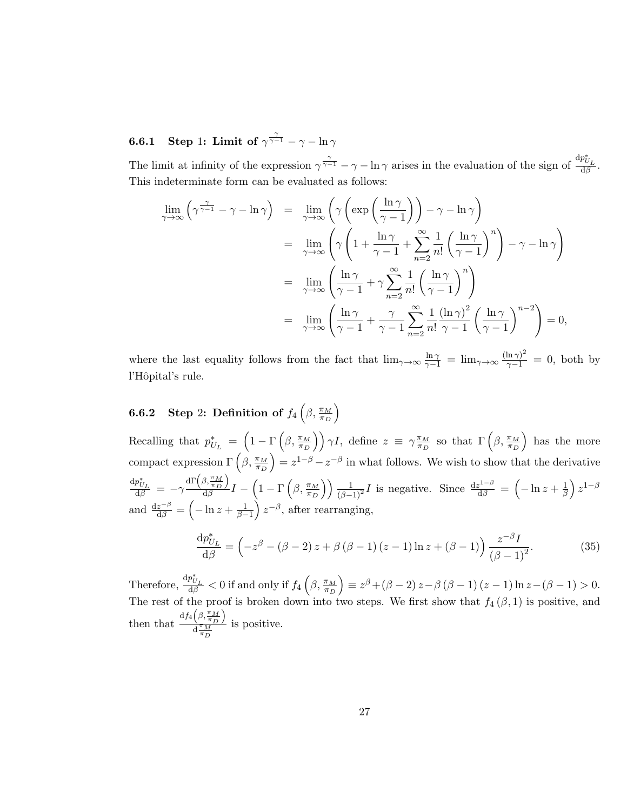**6.6.1** Step 1: Limit of  $\gamma^{\frac{\gamma}{\gamma-1}} - \gamma - \ln \gamma$ 

The limit at infinity of the expression  $\gamma^{\frac{\gamma}{\gamma-1}} - \gamma - \ln \gamma$  arises in the evaluation of the sign of  $\frac{dp_{U_L}^*}{d\beta}$ . This indeterminate form can be evaluated as follows:

$$
\lim_{\gamma \to \infty} \left( \gamma^{\frac{\gamma}{\gamma - 1}} - \gamma - \ln \gamma \right) = \lim_{\gamma \to \infty} \left( \gamma \left( \exp \left( \frac{\ln \gamma}{\gamma - 1} \right) \right) - \gamma - \ln \gamma \right)
$$
  
\n
$$
= \lim_{\gamma \to \infty} \left( \gamma \left( 1 + \frac{\ln \gamma}{\gamma - 1} + \sum_{n=2}^{\infty} \frac{1}{n!} \left( \frac{\ln \gamma}{\gamma - 1} \right)^n \right) - \gamma - \ln \gamma \right)
$$
  
\n
$$
= \lim_{\gamma \to \infty} \left( \frac{\ln \gamma}{\gamma - 1} + \gamma \sum_{n=2}^{\infty} \frac{1}{n!} \left( \frac{\ln \gamma}{\gamma - 1} \right)^n \right)
$$
  
\n
$$
= \lim_{\gamma \to \infty} \left( \frac{\ln \gamma}{\gamma - 1} + \frac{\gamma}{\gamma - 1} \sum_{n=2}^{\infty} \frac{1}{n!} \frac{(\ln \gamma)^2}{\gamma - 1} \left( \frac{\ln \gamma}{\gamma - 1} \right)^{n-2} \right) = 0,
$$

where the last equality follows from the fact that  $\lim_{\gamma\to\infty} \frac{\ln \gamma}{\gamma-1} = \lim_{\gamma\to\infty} \frac{(\ln \gamma)^2}{\gamma-1} = 0$ , both by l'Hôpital's rule.

#### **6.6.2** Step 2: Definition of  $f_4\left(\beta,\frac{\pi_M}{\pi_D}\right)$  $\setminus$

Recalling that  $p_{U_L}^* = \left(1 - \Gamma\left(\beta, \frac{\pi_M}{\pi_D}\right)\right) \gamma I$ , define  $z \equiv \gamma \frac{\pi_M}{\pi_D}$  $\frac{\pi_M}{\pi_D}$  so that  $\Gamma\left(\beta, \frac{\pi_M}{\pi_D}\right)$ ) has the more compact expression  $\Gamma\left(\beta, \frac{\pi_M}{\pi_D}\right)$  $= z^{1-\beta} - z^{-\beta}$  in what follows. We wish to show that the derivative  $\frac{\mathrm{d} p_{U_L}^*}{\mathrm{d} \beta} = -\gamma$  $\mathrm{d}\Gamma\left(\beta,\frac{\pi_{M}}{\pi_{D}}\right)$  $\frac{d\beta}{d\beta} \frac{d\beta}{d\beta} I - \left(1 - \Gamma\left(\beta, \frac{\pi_M}{\pi_D}\right)\right)$ )  $\frac{1}{(\beta-1)^2}I$  is negative. Since  $\frac{dz^{1-\beta}}{d\beta} = \left(-\ln z + \frac{1}{\beta}\right)$  $\frac{1}{\beta}$ )  $z^{1-\beta}$ and  $\frac{dz^{-\beta}}{d\beta} = \left(-\ln z + \frac{1}{\beta - 1}\right)z^{-\beta}$ , after rearranging,

$$
\frac{\mathrm{d}p_{U_L}^*}{\mathrm{d}\beta} = \left(-z^{\beta} - (\beta - 2)z + \beta(\beta - 1)(z - 1)\ln z + (\beta - 1)\right)\frac{z^{-\beta}I}{(\beta - 1)^2}.\tag{35}
$$

Therefore,  $\frac{dp_{U_L}^*}{d\beta} < 0$  if and only if  $f_4\left(\beta, \frac{\pi_M}{\pi_D}\right)$  $\Big) \equiv z^{\beta} + (\beta - 2) z - \beta (\beta - 1) (z - 1) \ln z - (\beta - 1) > 0.$ The rest of the proof is broken down into two steps. We first show that  $f_4(\beta,1)$  is positive, and then that  $\frac{df_4\left(\beta,\frac{\pi_M}{\pi_D}\right)}{\frac{1}{\pi M}}$  $\frac{d \pi M}{\pi D}$ is positive.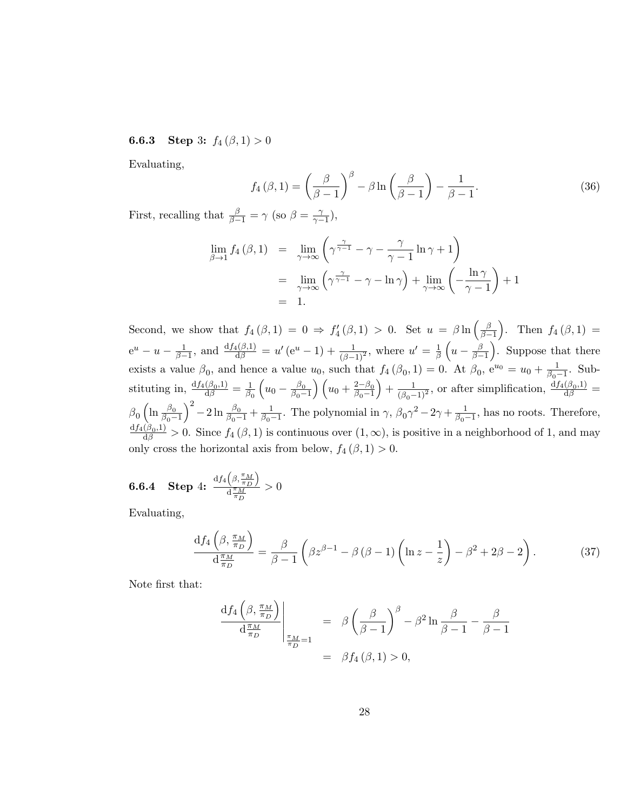## **6.6.3** Step 3:  $f_4(\beta, 1) > 0$

Evaluating,

$$
f_4(\beta, 1) = \left(\frac{\beta}{\beta - 1}\right)^{\beta} - \beta \ln\left(\frac{\beta}{\beta - 1}\right) - \frac{1}{\beta - 1}.
$$
 (36)

First, recalling that  $\frac{\beta}{\beta-1} = \gamma$  (so  $\beta = \frac{\gamma}{\gamma-1}$  $\frac{\gamma}{\gamma-1}$ ),

$$
\lim_{\beta \to 1} f_4(\beta, 1) = \lim_{\gamma \to \infty} \left( \gamma^{\frac{\gamma}{\gamma - 1}} - \gamma - \frac{\gamma}{\gamma - 1} \ln \gamma + 1 \right)
$$
  
= 
$$
\lim_{\gamma \to \infty} \left( \gamma^{\frac{\gamma}{\gamma - 1}} - \gamma - \ln \gamma \right) + \lim_{\gamma \to \infty} \left( -\frac{\ln \gamma}{\gamma - 1} \right) + 1
$$
  
= 1.

Second, we show that  $f_4(\beta,1) = 0 \Rightarrow f'_4(\beta,1) > 0$ . Set  $u = \beta \ln \left( \frac{\beta}{\beta - 1} \right)$  $\left(\frac{\beta}{\beta-1}\right)$ . Then  $f_4(\beta,1) =$  $e^u - u - \frac{1}{\beta - 1}$ , and  $\frac{df_4(\beta, 1)}{d\beta} = u'(e^u - 1) + \frac{1}{(\beta - 1)^2}$ , where  $u' = \frac{1}{\beta}$  $rac{1}{\beta}\left(u-\frac{\beta}{\beta-}\right)$  $\left(\frac{\beta}{\beta-1}\right)$ . Suppose that there exists a value  $\beta_0$ , and hence a value  $u_0$ , such that  $f_4(\beta_0, 1) = 0$ . At  $\beta_0$ ,  $e^{u_0} = u_0 + \frac{1}{\beta_0 - 1}$ . Substituting in,  $\frac{df_4(\beta_0,1)}{d\beta} = \frac{1}{\beta_0}$  $\overline{\beta_0}$  $\left(u_0 - \frac{\beta_0}{\beta_0 -}\right)$  $\frac{\beta_0}{\beta_0-1}\right)\left(u_0+\frac{2-\beta_0}{\beta_0-1}\right)$  $\beta_0-1$  $+\frac{1}{(\beta_0-1)^2}$ , or after simplification,  $\frac{df_4(\beta_0,1)}{d\beta}$  =  $\beta_0\left(\ln\frac{\beta_0}{\beta_0-1}\right)$  $\int_{0}^{2}$  - 2 ln  $\frac{\beta_0}{\beta_0 - 1}$  +  $\frac{1}{\beta_0 - 1}$ . The polynomial in  $\gamma$ ,  $\beta_0 \gamma^2$  - 2 $\gamma$  +  $\frac{1}{\beta_0 - 1}$ , has no roots. Therefore,  $\frac{df_4(\beta_0,1)}{d\beta} > 0$ . Since  $f_4(\beta,1)$  is continuous over  $(1,\infty)$ , is positive in a neighborhood of 1, and may only cross the horizontal axis from below,  $f_4(\beta, 1) > 0$ .

$$
\textbf{6.6.4}\quad \textbf{Step 4:} \;\; \frac{\mathrm{d}f_4\left(\beta,\frac{\pi_M}{\pi_D}\right)}{\mathrm{d}\frac{\pi_M}{\pi_D}} > 0
$$

Evaluating,

$$
\frac{\mathrm{d}f_4\left(\beta, \frac{\pi_M}{\pi_D}\right)}{\mathrm{d}\frac{\pi_M}{\pi_D}} = \frac{\beta}{\beta - 1} \left(\beta z^{\beta - 1} - \beta\left(\beta - 1\right) \left(\ln z - \frac{1}{z}\right) - \beta^2 + 2\beta - 2\right). \tag{37}
$$

Note first that:

$$
\frac{df_4\left(\beta, \frac{\pi_M}{\pi_D}\right)}{d\frac{\pi_M}{\pi_D}}\Big|_{\frac{\pi_M}{\pi_D}=1} = \beta \left(\frac{\beta}{\beta-1}\right)^{\beta} - \beta^2 \ln \frac{\beta}{\beta-1} - \frac{\beta}{\beta-1}
$$

$$
= \beta f_4(\beta, 1) > 0,
$$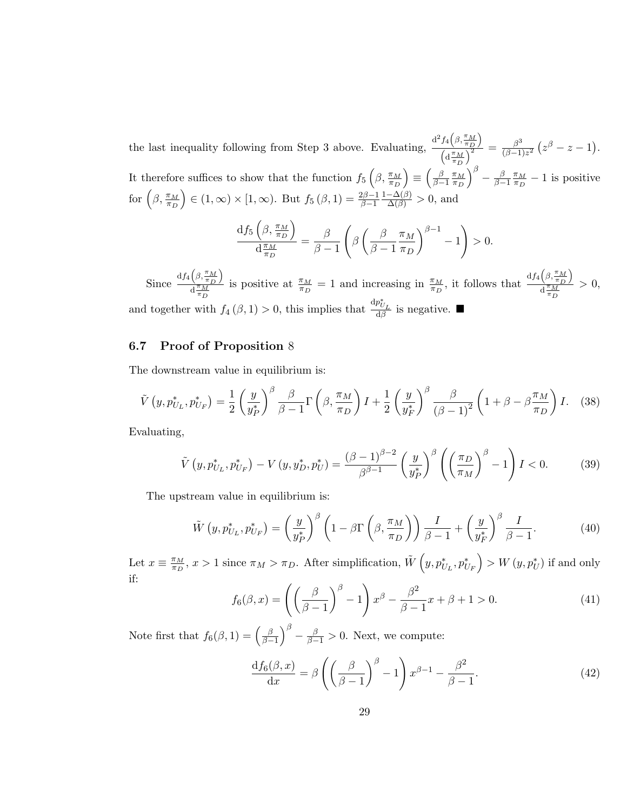the last inequality following from Step 3 above. Evaluating,  $\frac{d^2 f_4(\beta, \frac{\pi_M}{\pi_D})}{\sqrt{2}}$  $\frac{f_4\left(\beta,\frac{\pi}{\pi_D}\right)}{\left(\mathrm{d}\frac{\pi_M}{\pi_D}\right)^2} = \frac{\beta^3}{\left(\beta-1\right)}$  $\frac{\beta^3}{(\beta-1)z^2}\left(z^{\beta}-z-1\right).$ It therefore suffices to show that the function  $f_5\left(\beta, \frac{\pi_M}{\pi_D}\right)$  $\big) \equiv \big( \frac{\beta}{\beta - \beta} \big)$  $\frac{\beta}{\beta-1}\frac{\pi_M}{\pi_D}$  $\overline{\pi_D}$  $\int^{\beta} - \frac{\beta}{\beta - \beta}$  $\frac{\beta}{\beta-1}\frac{\pi_M}{\pi_D}$  $\frac{\pi_M}{\pi_D} - 1$  is positive for  $\left(\beta,\frac{\pi_M}{\pi_D}\right)$  $\Big) \in (1,\infty) \times [1,\infty)$ . But  $f_5(\beta,1) = \frac{2\beta-1}{\beta-1}$  $\frac{1-\Delta(\beta)}{\Delta(\beta)} > 0$ , and

$$
\frac{\mathrm{d}f_5\left(\beta,\frac{\pi_M}{\pi_D}\right)}{\mathrm{d}\frac{\pi_M}{\pi_D}} = \frac{\beta}{\beta-1}\left(\beta\left(\frac{\beta}{\beta-1}\frac{\pi_M}{\pi_D}\right)^{\beta-1}-1\right) > 0.
$$

Since  $\frac{df_4\left(\beta,\frac{\pi_M}{\pi_D}\right)}{d^{\frac{\pi}{M}}}$  $\frac{d \pi_M}{\pi_D}$ is positive at  $\frac{\pi_M}{\pi_D} = 1$  and increasing in  $\frac{\pi_M}{\pi_D}$ , it follows that  $\frac{df_4\left(\beta, \frac{\pi_M}{\pi_D}\right)}{d^{\frac{\pi_M}{2}}}$  $\frac{d^{\pi}M}{d^{\pi}D}$  $> 0$ , and together with  $f_4(\beta, 1) > 0$ , this implies that  $\frac{dp_{U_L}^*}{d\beta}$  is negative.

#### 6.7 Proof of Proposition 8

The downstream value in equilibrium is:

$$
\tilde{V}\left(y, p_{U_L}^*, p_{U_F}^*\right) = \frac{1}{2} \left(\frac{y}{y_P^*}\right)^{\beta} \frac{\beta}{\beta - 1} \Gamma\left(\beta, \frac{\pi_M}{\pi_D}\right) I + \frac{1}{2} \left(\frac{y}{y_F^*}\right)^{\beta} \frac{\beta}{\left(\beta - 1\right)^2} \left(1 + \beta - \beta \frac{\pi_M}{\pi_D}\right) I. \tag{38}
$$

Evaluating,

$$
\tilde{V}\left(y, p_{U_L}^*, p_{U_F}^*\right) - V\left(y, y_D^*, p_U^*\right) = \frac{(\beta - 1)^{\beta - 2}}{\beta^{\beta - 1}} \left(\frac{y}{y_P^*}\right)^{\beta} \left(\left(\frac{\pi_D}{\pi_M}\right)^{\beta} - 1\right) I < 0. \tag{39}
$$

The upstream value in equilibrium is:

$$
\tilde{W}\left(y, p_{U_L}^*, p_{U_F}^*\right) = \left(\frac{y}{y_P^*}\right)^{\beta} \left(1 - \beta \Gamma\left(\beta, \frac{\pi_M}{\pi_D}\right)\right) \frac{I}{\beta - 1} + \left(\frac{y}{y_F^*}\right)^{\beta} \frac{I}{\beta - 1}.\tag{40}
$$

Let  $x \equiv \frac{\pi_M}{\pi R}$  $\frac{\pi_M}{\pi_D}$ ,  $x > 1$  since  $\pi_M > \pi_D$ . After simplification,  $\tilde{W}\left(y, p_{U_L}^*, p_{U_F}^*\right) > W(y, p_U^*)$  if and only if:

$$
f_6(\beta, x) = \left( \left( \frac{\beta}{\beta - 1} \right)^\beta - 1 \right) x^\beta - \frac{\beta^2}{\beta - 1} x + \beta + 1 > 0. \tag{41}
$$

Note first that  $f_6(\beta, 1) = \left(\frac{\beta}{\beta - 1}\right)$  $\left(\frac{\beta}{\beta-1}\right)^{\beta} - \frac{\beta}{\beta-1} > 0$ . Next, we compute:

$$
\frac{\mathrm{d}f_6(\beta, x)}{\mathrm{d}x} = \beta \left( \left( \frac{\beta}{\beta - 1} \right)^{\beta} - 1 \right) x^{\beta - 1} - \frac{\beta^2}{\beta - 1}.\tag{42}
$$